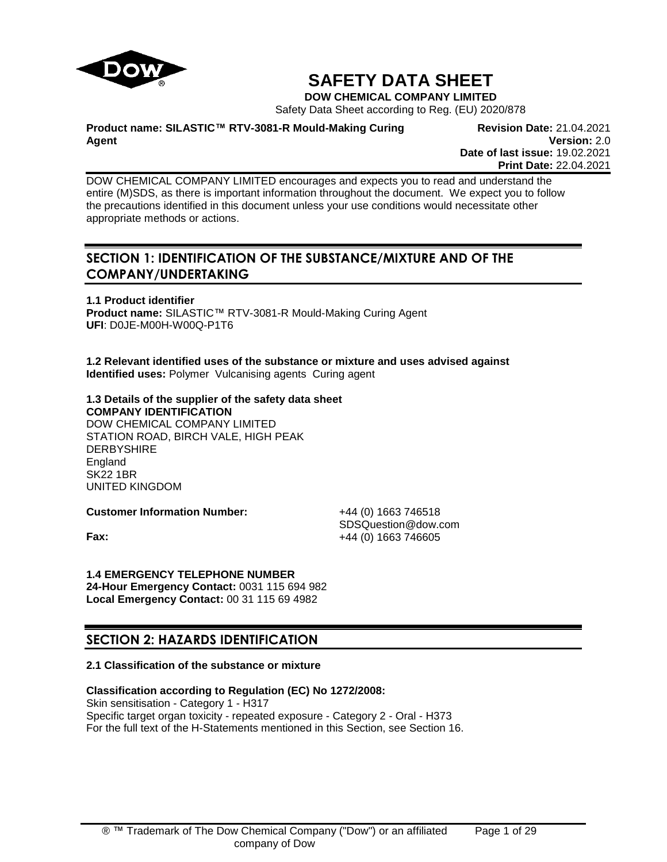

# **SAFETY DATA SHEET**

**DOW CHEMICAL COMPANY LIMITED**

Safety Data Sheet according to Reg. (EU) 2020/878

**Product name: SILASTIC™ RTV-3081-R Mould-Making Curing Agent**

**Revision Date:** 21.04.2021 **Version:** 2.0 **Date of last issue:** 19.02.2021 **Print Date:** 22.04.2021

DOW CHEMICAL COMPANY LIMITED encourages and expects you to read and understand the entire (M)SDS, as there is important information throughout the document. We expect you to follow the precautions identified in this document unless your use conditions would necessitate other appropriate methods or actions.

# **SECTION 1: IDENTIFICATION OF THE SUBSTANCE/MIXTURE AND OF THE COMPANY/UNDERTAKING**

**1.1 Product identifier Product name:** SILASTIC™ RTV-3081-R Mould-Making Curing Agent **UFI**: D0JE-M00H-W00Q-P1T6

**1.2 Relevant identified uses of the substance or mixture and uses advised against Identified uses:** Polymer Vulcanising agents Curing agent

#### **1.3 Details of the supplier of the safety data sheet COMPANY IDENTIFICATION**

DOW CHEMICAL COMPANY LIMITED STATION ROAD, BIRCH VALE, HIGH PEAK **DERBYSHIRE** England SK22 1BR UNITED KINGDOM

**Customer Information Number:** +44 (0) 1663 746518

SDSQuestion@dow.com **Fax:**  $+44 (0) 1663 746605$ 

# **1.4 EMERGENCY TELEPHONE NUMBER**

**24-Hour Emergency Contact:** 0031 115 694 982 **Local Emergency Contact:** 00 31 115 69 4982

# **SECTION 2: HAZARDS IDENTIFICATION**

# **2.1 Classification of the substance or mixture**

# **Classification according to Regulation (EC) No 1272/2008:**

Skin sensitisation - Category 1 - H317 Specific target organ toxicity - repeated exposure - Category 2 - Oral - H373 For the full text of the H-Statements mentioned in this Section, see Section 16.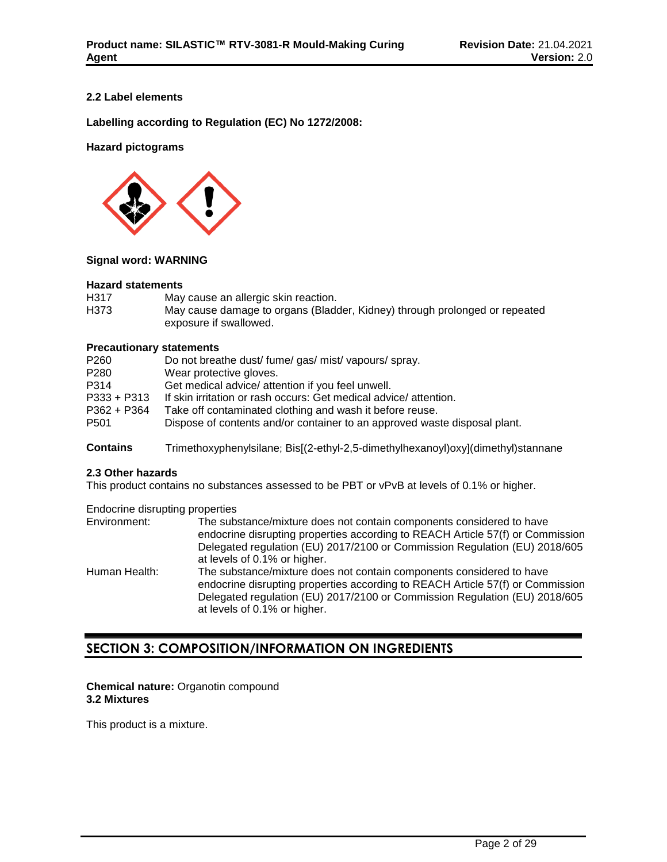# **2.2 Label elements**

**Labelling according to Regulation (EC) No 1272/2008:**

# **Hazard pictograms**



# **Signal word: WARNING**

#### **Hazard statements**

| H317 | May cause an allergic skin reaction.                                       |
|------|----------------------------------------------------------------------------|
| H373 | May cause damage to organs (Bladder, Kidney) through prolonged or repeated |
|      | exposure if swallowed.                                                     |

# **Precautionary statements**

| P260             | Do not breathe dust/fume/gas/mist/vapours/spray.                          |
|------------------|---------------------------------------------------------------------------|
| P280             | Wear protective gloves.                                                   |
| P314             | Get medical advice/ attention if you feel unwell.                         |
| $P333 + P313$    | If skin irritation or rash occurs: Get medical advice/attention.          |
| $P362 + P364$    | Take off contaminated clothing and wash it before reuse.                  |
| P <sub>501</sub> | Dispose of contents and/or container to an approved waste disposal plant. |
|                  |                                                                           |

**Contains** Trimethoxyphenylsilane; Bis[(2-ethyl-2,5-dimethylhexanoyl)oxy](dimethyl)stannane

# **2.3 Other hazards**

This product contains no substances assessed to be PBT or vPvB at levels of 0.1% or higher.

Endocrine disrupting properties

| Environment:  | The substance/mixture does not contain components considered to have<br>endocrine disrupting properties according to REACH Article 57(f) or Commission<br>Delegated regulation (EU) 2017/2100 or Commission Regulation (EU) 2018/605 |
|---------------|--------------------------------------------------------------------------------------------------------------------------------------------------------------------------------------------------------------------------------------|
|               | at levels of 0.1% or higher.                                                                                                                                                                                                         |
| Human Health: | The substance/mixture does not contain components considered to have<br>endocrine disrupting properties according to REACH Article 57(f) or Commission<br>Delegated regulation (EU) 2017/2100 or Commission Regulation (EU) 2018/605 |
|               | at levels of 0.1% or higher.                                                                                                                                                                                                         |

# **SECTION 3: COMPOSITION/INFORMATION ON INGREDIENTS**

# **Chemical nature:** Organotin compound **3.2 Mixtures**

This product is a mixture.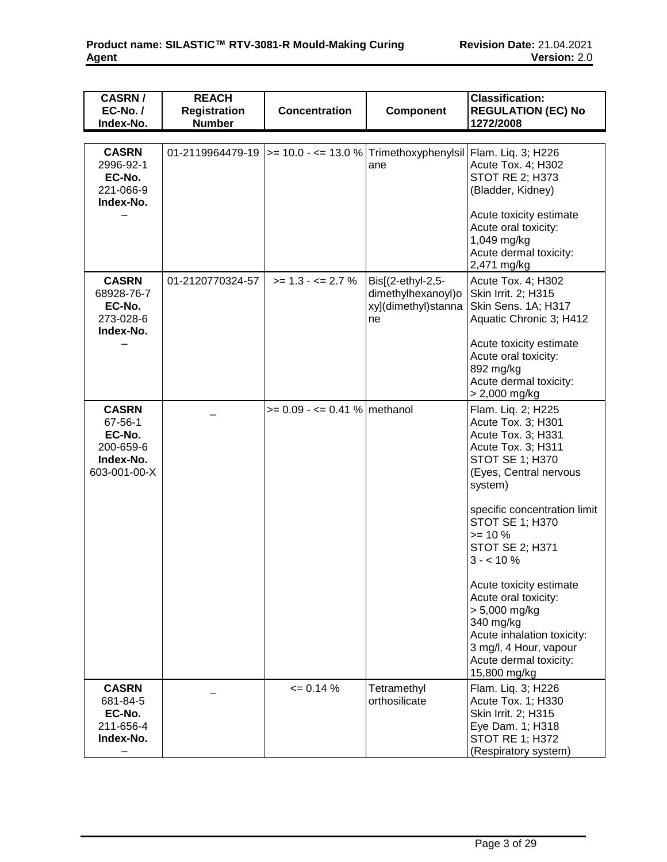| <b>CASRN/</b><br>$EC-No. /$<br>Index-No.                                    | <b>REACH</b><br><b>Registration</b><br><b>Number</b> | <b>Concentration</b>                                                             | <b>Component</b>                                                     | <b>Classification:</b><br><b>REGULATION (EC) No</b><br>1272/2008                                                                                                                                                                                                                                                                                                                                                                                       |
|-----------------------------------------------------------------------------|------------------------------------------------------|----------------------------------------------------------------------------------|----------------------------------------------------------------------|--------------------------------------------------------------------------------------------------------------------------------------------------------------------------------------------------------------------------------------------------------------------------------------------------------------------------------------------------------------------------------------------------------------------------------------------------------|
|                                                                             |                                                      |                                                                                  |                                                                      |                                                                                                                                                                                                                                                                                                                                                                                                                                                        |
| <b>CASRN</b><br>2996-92-1<br>EC-No.<br>221-066-9<br>Index-No.               |                                                      | 01-2119964479-19  >= 10.0 - <= 13.0 %   Trimethoxyphenylsil   Flam. Liq. 3; H226 | ane                                                                  | Acute Tox. 4; H302<br><b>STOT RE 2; H373</b><br>(Bladder, Kidney)<br>Acute toxicity estimate<br>Acute oral toxicity:<br>1,049 mg/kg<br>Acute dermal toxicity:<br>2,471 mg/kg                                                                                                                                                                                                                                                                           |
| <b>CASRN</b><br>68928-76-7<br>EC-No.<br>273-028-6<br>Index-No.              | 01-2120770324-57                                     | $>= 1.3 - 2.7 \%$                                                                | Bis[(2-ethyl-2,5-<br>dimethylhexanoyl)o<br>xy](dimethyl)stanna<br>ne | Acute Tox. 4; H302<br>Skin Irrit. 2; H315<br>Skin Sens. 1A; H317<br>Aquatic Chronic 3; H412<br>Acute toxicity estimate<br>Acute oral toxicity:<br>892 mg/kg<br>Acute dermal toxicity:<br>> 2,000 mg/kg                                                                                                                                                                                                                                                 |
| <b>CASRN</b><br>67-56-1<br>EC-No.<br>200-659-6<br>Index-No.<br>603-001-00-X |                                                      | $>= 0.09 - \le 0.41$ % methanol                                                  |                                                                      | Flam. Liq. 2; H225<br>Acute Tox. 3; H301<br>Acute Tox. 3; H331<br>Acute Tox. 3; H311<br><b>STOT SE 1; H370</b><br>(Eyes, Central nervous<br>system)<br>specific concentration limit<br><b>STOT SE 1; H370</b><br>$>= 10 \%$<br><b>STOT SE 2; H371</b><br>$3 - 10\%$<br>Acute toxicity estimate<br>Acute oral toxicity:<br>> 5,000 mg/kg<br>340 mg/kg<br>Acute inhalation toxicity:<br>3 mg/l, 4 Hour, vapour<br>Acute dermal toxicity:<br>15,800 mg/kg |
| <b>CASRN</b><br>681-84-5<br>EC-No.<br>211-656-4<br>Index-No.                |                                                      | $= 0.14 %$                                                                       | Tetramethyl<br>orthosilicate                                         | Flam. Liq. 3; H226<br>Acute Tox. 1; H330<br>Skin Irrit. 2; H315<br>Eye Dam. 1; H318<br><b>STOT RE 1; H372</b><br>(Respiratory system)                                                                                                                                                                                                                                                                                                                  |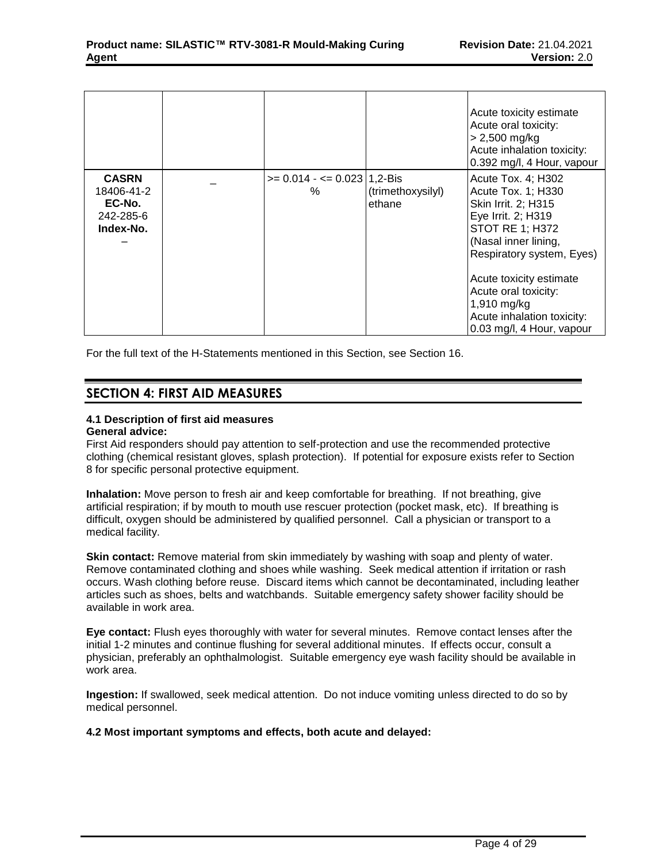|                                                                |                                       |                             | Acute toxicity estimate<br>Acute oral toxicity:<br>$> 2,500$ mg/kg<br>Acute inhalation toxicity:<br>0.392 mg/l, 4 Hour, vapour                                                                                                                                                                    |
|----------------------------------------------------------------|---------------------------------------|-----------------------------|---------------------------------------------------------------------------------------------------------------------------------------------------------------------------------------------------------------------------------------------------------------------------------------------------|
| <b>CASRN</b><br>18406-41-2<br>EC-No.<br>242-285-6<br>Index-No. | $>= 0.014 - \le 0.023$   1,2-Bis<br>% | (trimethoxysilyl)<br>ethane | Acute Tox. 4; H302<br>Acute Tox. 1; H330<br>Skin Irrit. 2; H315<br>Eye Irrit. 2; H319<br><b>STOT RE 1; H372</b><br>(Nasal inner lining,<br>Respiratory system, Eyes)<br>Acute toxicity estimate<br>Acute oral toxicity:<br>1,910 mg/kg<br>Acute inhalation toxicity:<br>0.03 mg/l, 4 Hour, vapour |

For the full text of the H-Statements mentioned in this Section, see Section 16.

# **SECTION 4: FIRST AID MEASURES**

# **4.1 Description of first aid measures**

# **General advice:**

First Aid responders should pay attention to self-protection and use the recommended protective clothing (chemical resistant gloves, splash protection). If potential for exposure exists refer to Section 8 for specific personal protective equipment.

**Inhalation:** Move person to fresh air and keep comfortable for breathing. If not breathing, give artificial respiration; if by mouth to mouth use rescuer protection (pocket mask, etc). If breathing is difficult, oxygen should be administered by qualified personnel. Call a physician or transport to a medical facility.

**Skin contact:** Remove material from skin immediately by washing with soap and plenty of water. Remove contaminated clothing and shoes while washing. Seek medical attention if irritation or rash occurs. Wash clothing before reuse. Discard items which cannot be decontaminated, including leather articles such as shoes, belts and watchbands. Suitable emergency safety shower facility should be available in work area.

**Eye contact:** Flush eyes thoroughly with water for several minutes. Remove contact lenses after the initial 1-2 minutes and continue flushing for several additional minutes. If effects occur, consult a physician, preferably an ophthalmologist. Suitable emergency eye wash facility should be available in work area.

**Ingestion:** If swallowed, seek medical attention. Do not induce vomiting unless directed to do so by medical personnel.

# **4.2 Most important symptoms and effects, both acute and delayed:**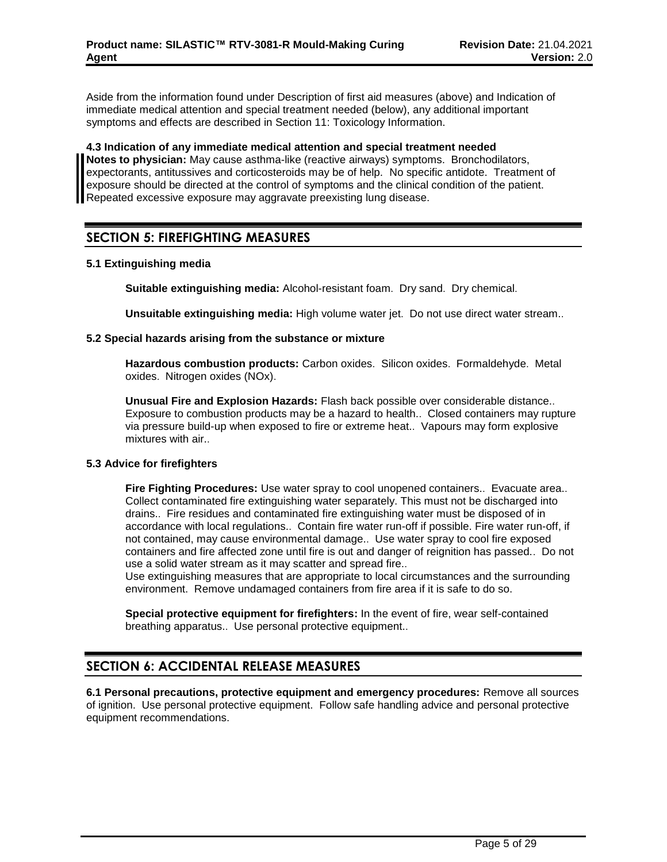Aside from the information found under Description of first aid measures (above) and Indication of immediate medical attention and special treatment needed (below), any additional important symptoms and effects are described in Section 11: Toxicology Information.

**4.3 Indication of any immediate medical attention and special treatment needed Notes to physician:** May cause asthma-like (reactive airways) symptoms. Bronchodilators, expectorants, antitussives and corticosteroids may be of help. No specific antidote. Treatment of exposure should be directed at the control of symptoms and the clinical condition of the patient. Repeated excessive exposure may aggravate preexisting lung disease.

# **SECTION 5: FIREFIGHTING MEASURES**

# **5.1 Extinguishing media**

**Suitable extinguishing media:** Alcohol-resistant foam. Dry sand. Dry chemical.

**Unsuitable extinguishing media:** High volume water jet. Do not use direct water stream..

# **5.2 Special hazards arising from the substance or mixture**

**Hazardous combustion products:** Carbon oxides. Silicon oxides. Formaldehyde. Metal oxides. Nitrogen oxides (NOx).

**Unusual Fire and Explosion Hazards:** Flash back possible over considerable distance.. Exposure to combustion products may be a hazard to health.. Closed containers may rupture via pressure build-up when exposed to fire or extreme heat.. Vapours may form explosive mixtures with air..

# **5.3 Advice for firefighters**

**Fire Fighting Procedures:** Use water spray to cool unopened containers.. Evacuate area.. Collect contaminated fire extinguishing water separately. This must not be discharged into drains.. Fire residues and contaminated fire extinguishing water must be disposed of in accordance with local regulations.. Contain fire water run-off if possible. Fire water run-off, if not contained, may cause environmental damage.. Use water spray to cool fire exposed containers and fire affected zone until fire is out and danger of reignition has passed.. Do not use a solid water stream as it may scatter and spread fire..

Use extinguishing measures that are appropriate to local circumstances and the surrounding environment. Remove undamaged containers from fire area if it is safe to do so.

**Special protective equipment for firefighters:** In the event of fire, wear self-contained breathing apparatus.. Use personal protective equipment..

# **SECTION 6: ACCIDENTAL RELEASE MEASURES**

**6.1 Personal precautions, protective equipment and emergency procedures:** Remove all sources of ignition. Use personal protective equipment. Follow safe handling advice and personal protective equipment recommendations.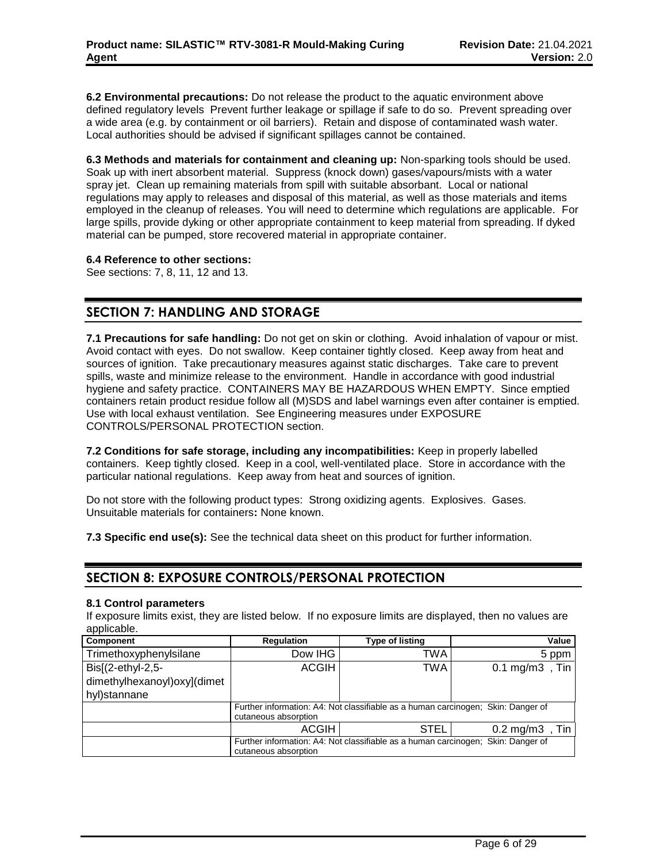**6.2 Environmental precautions:** Do not release the product to the aquatic environment above defined regulatory levels Prevent further leakage or spillage if safe to do so. Prevent spreading over a wide area (e.g. by containment or oil barriers). Retain and dispose of contaminated wash water. Local authorities should be advised if significant spillages cannot be contained.

**6.3 Methods and materials for containment and cleaning up:** Non-sparking tools should be used. Soak up with inert absorbent material. Suppress (knock down) gases/vapours/mists with a water spray jet. Clean up remaining materials from spill with suitable absorbant. Local or national regulations may apply to releases and disposal of this material, as well as those materials and items employed in the cleanup of releases. You will need to determine which regulations are applicable. For large spills, provide dyking or other appropriate containment to keep material from spreading. If dyked material can be pumped, store recovered material in appropriate container.

# **6.4 Reference to other sections:**

See sections: 7, 8, 11, 12 and 13.

# **SECTION 7: HANDLING AND STORAGE**

**7.1 Precautions for safe handling:** Do not get on skin or clothing. Avoid inhalation of vapour or mist. Avoid contact with eyes. Do not swallow. Keep container tightly closed. Keep away from heat and sources of ignition. Take precautionary measures against static discharges. Take care to prevent spills, waste and minimize release to the environment. Handle in accordance with good industrial hygiene and safety practice. CONTAINERS MAY BE HAZARDOUS WHEN EMPTY. Since emptied containers retain product residue follow all (M)SDS and label warnings even after container is emptied. Use with local exhaust ventilation. See Engineering measures under EXPOSURE CONTROLS/PERSONAL PROTECTION section.

**7.2 Conditions for safe storage, including any incompatibilities:** Keep in properly labelled containers. Keep tightly closed. Keep in a cool, well-ventilated place. Store in accordance with the particular national regulations. Keep away from heat and sources of ignition.

Do not store with the following product types: Strong oxidizing agents. Explosives. Gases. Unsuitable materials for containers**:** None known.

**7.3 Specific end use(s):** See the technical data sheet on this product for further information.

# **SECTION 8: EXPOSURE CONTROLS/PERSONAL PROTECTION**

# **8.1 Control parameters**

If exposure limits exist, they are listed below. If no exposure limits are displayed, then no values are applicable.

| <b>Component</b>            | Regulation                                                                                               | <b>Type of listing</b> | Value                           |  |  |  |  |
|-----------------------------|----------------------------------------------------------------------------------------------------------|------------------------|---------------------------------|--|--|--|--|
| Trimethoxyphenylsilane      | Dow IHG                                                                                                  | TWA                    | 5 ppm                           |  |  |  |  |
| Bis[(2-ethyl-2,5-           | <b>ACGIH</b>                                                                                             | TWA                    | , Tin<br>$0.1 \,\mathrm{mg/m3}$ |  |  |  |  |
| dimethylhexanoyl)oxy](dimet |                                                                                                          |                        |                                 |  |  |  |  |
| hyl)stannane                |                                                                                                          |                        |                                 |  |  |  |  |
|                             | Further information: A4: Not classifiable as a human carcinogen; Skin: Danger of<br>cutaneous absorption |                        |                                 |  |  |  |  |
|                             | ACGIH                                                                                                    | <b>STEL</b>            | ,Tin<br>$0.2 \text{ mg/m}$ 3    |  |  |  |  |
|                             | Further information: A4: Not classifiable as a human carcinogen; Skin: Danger of<br>cutaneous absorption |                        |                                 |  |  |  |  |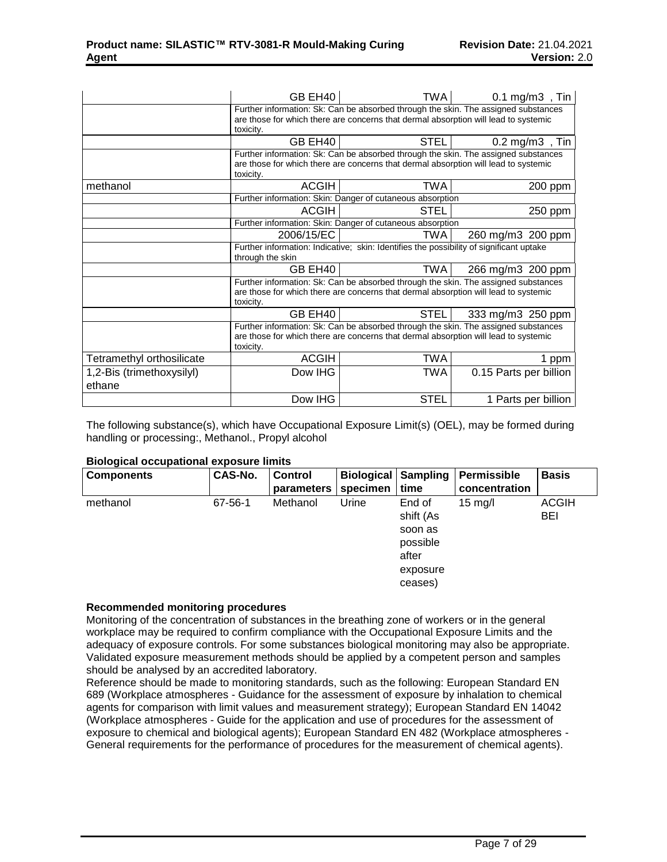|                                     | GB EH40                                                                                                                                                                                | <b>TWA</b>                                                                                                                                                                | $0.1 \text{ mg/m3}$ , Tin                                                          |  |  |  |
|-------------------------------------|----------------------------------------------------------------------------------------------------------------------------------------------------------------------------------------|---------------------------------------------------------------------------------------------------------------------------------------------------------------------------|------------------------------------------------------------------------------------|--|--|--|
|                                     | Further information: Sk: Can be absorbed through the skin. The assigned substances<br>are those for which there are concerns that dermal absorption will lead to systemic<br>toxicity. |                                                                                                                                                                           |                                                                                    |  |  |  |
|                                     | GB EH40                                                                                                                                                                                | <b>STEL</b>                                                                                                                                                               | $0.2 \text{ mg/m3}$ , Tin                                                          |  |  |  |
|                                     | toxicity.                                                                                                                                                                              | are those for which there are concerns that dermal absorption will lead to systemic                                                                                       | Further information: Sk: Can be absorbed through the skin. The assigned substances |  |  |  |
| methanol                            | <b>ACGIH</b>                                                                                                                                                                           | TWA                                                                                                                                                                       | 200 ppm                                                                            |  |  |  |
|                                     |                                                                                                                                                                                        | Further information: Skin: Danger of cutaneous absorption                                                                                                                 |                                                                                    |  |  |  |
|                                     | <b>ACGIH</b>                                                                                                                                                                           | STEL                                                                                                                                                                      | 250 ppm                                                                            |  |  |  |
|                                     | Further information: Skin: Danger of cutaneous absorption                                                                                                                              |                                                                                                                                                                           |                                                                                    |  |  |  |
|                                     | 2006/15/EC                                                                                                                                                                             | TWA                                                                                                                                                                       | 260 mg/m3 200 ppm                                                                  |  |  |  |
|                                     | through the skin                                                                                                                                                                       | Further information: Indicative; skin: Identifies the possibility of significant uptake                                                                                   |                                                                                    |  |  |  |
|                                     | GB EH40                                                                                                                                                                                | TWA                                                                                                                                                                       | 266 mg/m3 200 ppm                                                                  |  |  |  |
|                                     | toxicity.                                                                                                                                                                              | are those for which there are concerns that dermal absorption will lead to systemic                                                                                       | Further information: Sk: Can be absorbed through the skin. The assigned substances |  |  |  |
|                                     | GB EH40                                                                                                                                                                                | <b>STEL</b>                                                                                                                                                               | 333 mg/m3 250 ppm                                                                  |  |  |  |
|                                     | toxicity.                                                                                                                                                                              | Further information: Sk: Can be absorbed through the skin. The assigned substances<br>are those for which there are concerns that dermal absorption will lead to systemic |                                                                                    |  |  |  |
| Tetramethyl orthosilicate           | <b>ACGIH</b>                                                                                                                                                                           | <b>TWA</b>                                                                                                                                                                | 1 ppm                                                                              |  |  |  |
| 1,2-Bis (trimethoxysilyl)<br>ethane | Dow IHG                                                                                                                                                                                | TWA                                                                                                                                                                       | 0.15 Parts per billion                                                             |  |  |  |
|                                     |                                                                                                                                                                                        |                                                                                                                                                                           |                                                                                    |  |  |  |
|                                     | Dow IHG                                                                                                                                                                                | <b>STEL</b>                                                                                                                                                               | 1 Parts per billion                                                                |  |  |  |

The following substance(s), which have Occupational Exposure Limit(s) (OEL), may be formed during handling or processing:, Methanol., Propyl alcohol

# **Biological occupational exposure limits**

| <b>Components</b> | CAS-No. | <b>Control</b> | <b>Biological Sampling</b> |           | Permissible       | <b>Basis</b> |
|-------------------|---------|----------------|----------------------------|-----------|-------------------|--------------|
|                   |         | parameters     | specimen                   | time      | concentration     |              |
| methanol          | 67-56-1 | Methanol       | Urine                      | End of    | $15 \text{ mg/l}$ | <b>ACGIH</b> |
|                   |         |                |                            | shift (As |                   | <b>BEI</b>   |
|                   |         |                |                            | soon as   |                   |              |
|                   |         |                |                            | possible  |                   |              |
|                   |         |                |                            | after     |                   |              |
|                   |         |                |                            | exposure  |                   |              |
|                   |         |                |                            | ceases)   |                   |              |

#### **Recommended monitoring procedures**

Monitoring of the concentration of substances in the breathing zone of workers or in the general workplace may be required to confirm compliance with the Occupational Exposure Limits and the adequacy of exposure controls. For some substances biological monitoring may also be appropriate. Validated exposure measurement methods should be applied by a competent person and samples should be analysed by an accredited laboratory.

Reference should be made to monitoring standards, such as the following: European Standard EN 689 (Workplace atmospheres - Guidance for the assessment of exposure by inhalation to chemical agents for comparison with limit values and measurement strategy); European Standard EN 14042 (Workplace atmospheres - Guide for the application and use of procedures for the assessment of exposure to chemical and biological agents); European Standard EN 482 (Workplace atmospheres - General requirements for the performance of procedures for the measurement of chemical agents).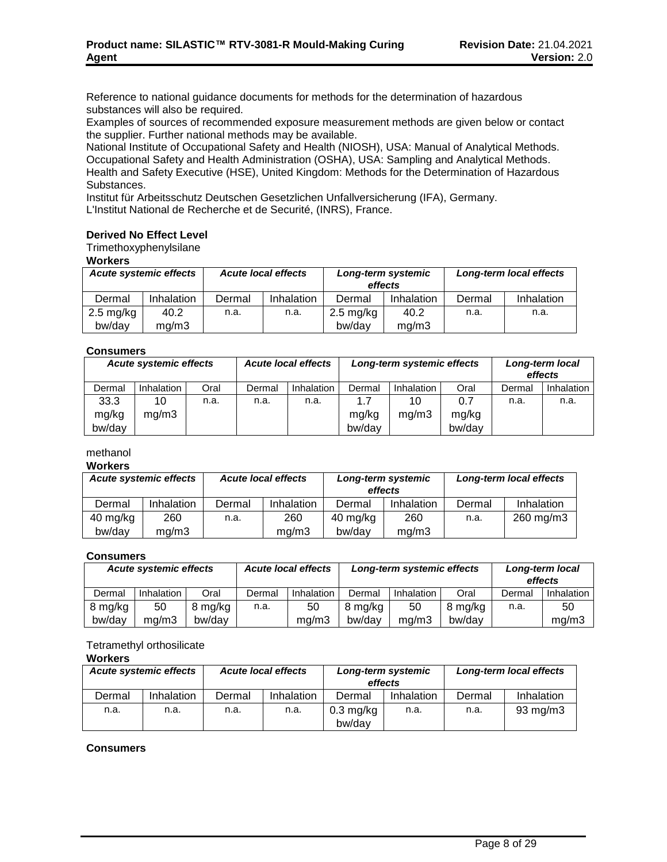Reference to national guidance documents for methods for the determination of hazardous substances will also be required.

Examples of sources of recommended exposure measurement methods are given below or contact the supplier. Further national methods may be available.

National Institute of Occupational Safety and Health (NIOSH), USA: Manual of Analytical Methods. Occupational Safety and Health Administration (OSHA), USA: Sampling and Analytical Methods. Health and Safety Executive (HSE), United Kingdom: Methods for the Determination of Hazardous Substances.

Institut für Arbeitsschutz Deutschen Gesetzlichen Unfallversicherung (IFA), Germany. L'Institut National de Recherche et de Securité, (INRS), France.

# **Derived No Effect Level**

Trimethoxyphenylsilane

**Workers**

| <b>Acute systemic effects</b> |            | <b>Acute local effects</b> |                   | Long-term systemic<br>effects |            | Long-term local effects |            |
|-------------------------------|------------|----------------------------|-------------------|-------------------------------|------------|-------------------------|------------|
| Dermal                        | Inhalation | Dermal                     | <b>Inhalation</b> | Dermal                        | Inhalation | Dermal                  | Inhalation |
| $2.5 \text{ mg/kg}$           | 40.2       | n.a.                       | n.a.              | $2.5 \text{ mg/kg}$           | 40.2       | n.a.                    | n.a.       |
| bw/day                        | mq/m3      |                            |                   | bw/dav                        | ma/m3      |                         |            |

# **Consumers**

| -----------                   |                   |      |        |                            |                            |                   |                            |        |                   |
|-------------------------------|-------------------|------|--------|----------------------------|----------------------------|-------------------|----------------------------|--------|-------------------|
| <b>Acute systemic effects</b> |                   |      |        | <b>Acute local effects</b> | Long-term systemic effects |                   | Long-term local<br>effects |        |                   |
| Dermal                        | <b>Inhalation</b> | Oral | Dermal | Inhalation                 | Dermal                     | <b>Inhalation</b> | Oral                       | Dermal | <b>Inhalation</b> |
| 33.3                          | 10                | n.a. | n.a.   | n.a.                       | 1.7                        | 10                | 0.7                        | n.a.   | n.a.              |
| mg/kg                         | mq/m3             |      |        |                            | mg/kg                      | mg/m3             | mg/kg                      |        |                   |
| bw/day                        |                   |      |        |                            | bw/day                     |                   | bw/day                     |        |                   |

# methanol

#### **Workers**

| <b>Acute systemic effects</b> |            | <b>Acute local effects</b> |            | Long-term systemic<br>effects |            | Long-term local effects |            |
|-------------------------------|------------|----------------------------|------------|-------------------------------|------------|-------------------------|------------|
| Dermal                        | Inhalation | Dermal                     | Inhalation | Dermal                        | Inhalation | Dermal                  | Inhalation |
| 40 mg/kg                      | 260        | n.a.                       | 260        | 40 mg/kg                      | 260        | n.a.                    | 260 mg/m3  |
| bw/day                        | ma/m3      |                            | ma/m3      | bw/dav                        | mq/m3      |                         |            |

#### **Consumers**

| <b>Acute systemic effects</b> |            |         | <b>Acute local effects</b> |            | Long-term systemic effects |            |         | Long-term local<br>effects |            |
|-------------------------------|------------|---------|----------------------------|------------|----------------------------|------------|---------|----------------------------|------------|
| Dermal                        | Inhalation | Oral    | Dermal                     | Inhalation | Dermal                     | Inhalation | Oral    | Dermal                     | Inhalation |
| 8 mg/kg                       | 50         | 8 mg/kg | n.a.                       | 50         | 8 mg/kg                    | 50         | 8 mg/kg | n.a.                       | 50         |
| bw/dav                        | ma/m3      | bw/dav  |                            | ma/m3      | bw/dav                     | ma/m3      | bw/dav  |                            | mq/m3      |

# Tetramethyl orthosilicate

# **Workers**

| <b>Acute systemic effects</b> |            | <b>Acute local effects</b> |            | Long-term systemic<br>effects |            | Long-term local effects |            |
|-------------------------------|------------|----------------------------|------------|-------------------------------|------------|-------------------------|------------|
| Dermal                        | Inhalation | Dermal                     | Inhalation | Dermal                        | Inhalation | Dermal                  | Inhalation |
| n.a.                          | n.a.       | n.a.                       | n.a.       | $0.3 \text{ mg/kg}$           | n.a.       | n.a.                    | 93 mg/m3   |
|                               |            |                            |            | bw/dav                        |            |                         |            |

# **Consumers**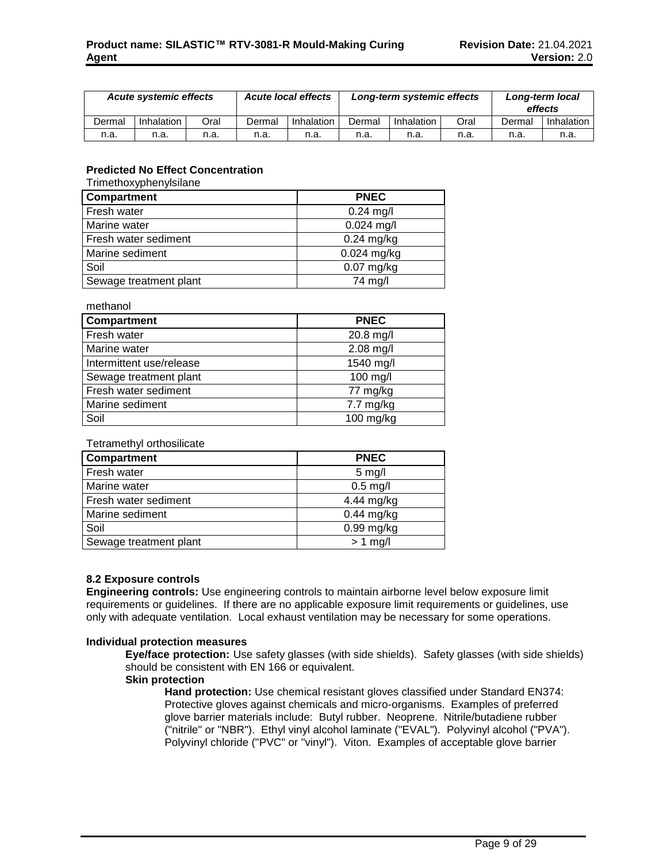|        | <b>Acute local effects</b><br><b>Acute systemic effects</b> |      | Long-term systemic effects |            |        | Long-term local<br>effects |      |        |            |
|--------|-------------------------------------------------------------|------|----------------------------|------------|--------|----------------------------|------|--------|------------|
| Dermal | Inhalation                                                  | Oral | Dermal                     | Inhalation | Dermal | Inhalation                 | Oral | Dermal | Inhalation |
| n.a.   | n.a.                                                        | n.a. | n.a.                       | n.a.       | n.a.   | n.a.                       | n.a. | n.a.   | n.a.       |

# **Predicted No Effect Concentration**

Trimethoxyphenylsilane

methanol

| Compartment            | <b>PNEC</b>   |
|------------------------|---------------|
| Fresh water            | $0.24$ mg/l   |
| Marine water           | $0.024$ mg/l  |
| Fresh water sediment   | $0.24$ mg/kg  |
| Marine sediment        | $0.024$ mg/kg |
| Soil                   | $0.07$ mg/kg  |
| Sewage treatment plant | 74 mg/l       |

| <u>methanol</u>          |                     |
|--------------------------|---------------------|
| Compartment              | <b>PNEC</b>         |
| Fresh water              | 20.8 mg/l           |
| Marine water             | $2.08$ mg/l         |
| Intermittent use/release | 1540 mg/l           |
| Sewage treatment plant   | 100 mg/l            |
| Fresh water sediment     | 77 mg/kg            |
| Marine sediment          | $7.7 \text{ mg/kg}$ |
| Soil                     | $100$ mg/kg         |

# Tetramethyl orthosilicate

| Compartment            | <b>PNEC</b>  |
|------------------------|--------------|
| Fresh water            | $5$ mg/l     |
| Marine water           | $0.5$ mg/l   |
| Fresh water sediment   | 4.44 mg/kg   |
| Marine sediment        | $0.44$ mg/kg |
| Soil                   | $0.99$ mg/kg |
| Sewage treatment plant | $> 1$ mg/l   |

# **8.2 Exposure controls**

**Engineering controls:** Use engineering controls to maintain airborne level below exposure limit requirements or guidelines. If there are no applicable exposure limit requirements or guidelines, use only with adequate ventilation. Local exhaust ventilation may be necessary for some operations.

#### **Individual protection measures**

**Eye/face protection:** Use safety glasses (with side shields). Safety glasses (with side shields) should be consistent with EN 166 or equivalent.

#### **Skin protection**

**Hand protection:** Use chemical resistant gloves classified under Standard EN374: Protective gloves against chemicals and micro-organisms. Examples of preferred glove barrier materials include: Butyl rubber. Neoprene. Nitrile/butadiene rubber ("nitrile" or "NBR"). Ethyl vinyl alcohol laminate ("EVAL"). Polyvinyl alcohol ("PVA"). Polyvinyl chloride ("PVC" or "vinyl"). Viton. Examples of acceptable glove barrier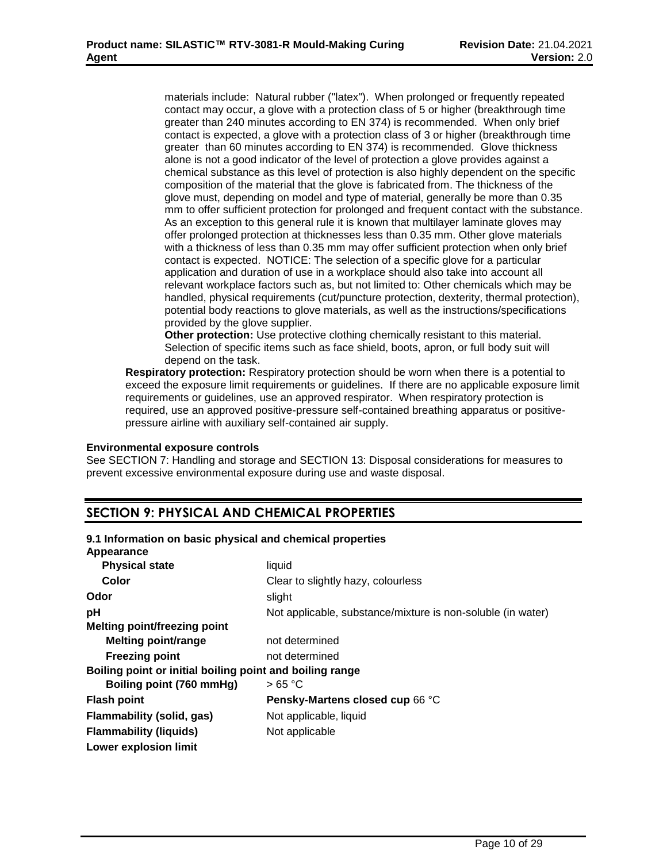materials include: Natural rubber ("latex"). When prolonged or frequently repeated contact may occur, a glove with a protection class of 5 or higher (breakthrough time greater than 240 minutes according to EN 374) is recommended. When only brief contact is expected, a glove with a protection class of 3 or higher (breakthrough time greater than 60 minutes according to EN 374) is recommended. Glove thickness alone is not a good indicator of the level of protection a glove provides against a chemical substance as this level of protection is also highly dependent on the specific composition of the material that the glove is fabricated from. The thickness of the glove must, depending on model and type of material, generally be more than 0.35 mm to offer sufficient protection for prolonged and frequent contact with the substance. As an exception to this general rule it is known that multilayer laminate gloves may offer prolonged protection at thicknesses less than 0.35 mm. Other glove materials with a thickness of less than 0.35 mm may offer sufficient protection when only brief contact is expected. NOTICE: The selection of a specific glove for a particular application and duration of use in a workplace should also take into account all relevant workplace factors such as, but not limited to: Other chemicals which may be handled, physical requirements (cut/puncture protection, dexterity, thermal protection), potential body reactions to glove materials, as well as the instructions/specifications provided by the glove supplier.

**Other protection:** Use protective clothing chemically resistant to this material. Selection of specific items such as face shield, boots, apron, or full body suit will depend on the task.

**Respiratory protection:** Respiratory protection should be worn when there is a potential to exceed the exposure limit requirements or guidelines. If there are no applicable exposure limit requirements or guidelines, use an approved respirator. When respiratory protection is required, use an approved positive-pressure self-contained breathing apparatus or positivepressure airline with auxiliary self-contained air supply.

# **Environmental exposure controls**

See SECTION 7: Handling and storage and SECTION 13: Disposal considerations for measures to prevent excessive environmental exposure during use and waste disposal.

# **SECTION 9: PHYSICAL AND CHEMICAL PROPERTIES**

# **9.1 Information on basic physical and chemical properties**

| Appearance                                               |                                                             |
|----------------------------------------------------------|-------------------------------------------------------------|
| <b>Physical state</b>                                    | liquid                                                      |
| Color                                                    | Clear to slightly hazy, colourless                          |
| Odor                                                     | slight                                                      |
| рH                                                       | Not applicable, substance/mixture is non-soluble (in water) |
| <b>Melting point/freezing point</b>                      |                                                             |
| <b>Melting point/range</b>                               | not determined                                              |
| <b>Freezing point</b>                                    | not determined                                              |
| Boiling point or initial boiling point and boiling range |                                                             |
| Boiling point (760 mmHg)                                 | >65 °C                                                      |
| <b>Flash point</b>                                       | Pensky-Martens closed cup 66 °C                             |
| Flammability (solid, gas)                                | Not applicable, liquid                                      |
| <b>Flammability (liquids)</b>                            | Not applicable                                              |
| <b>Lower explosion limit</b>                             |                                                             |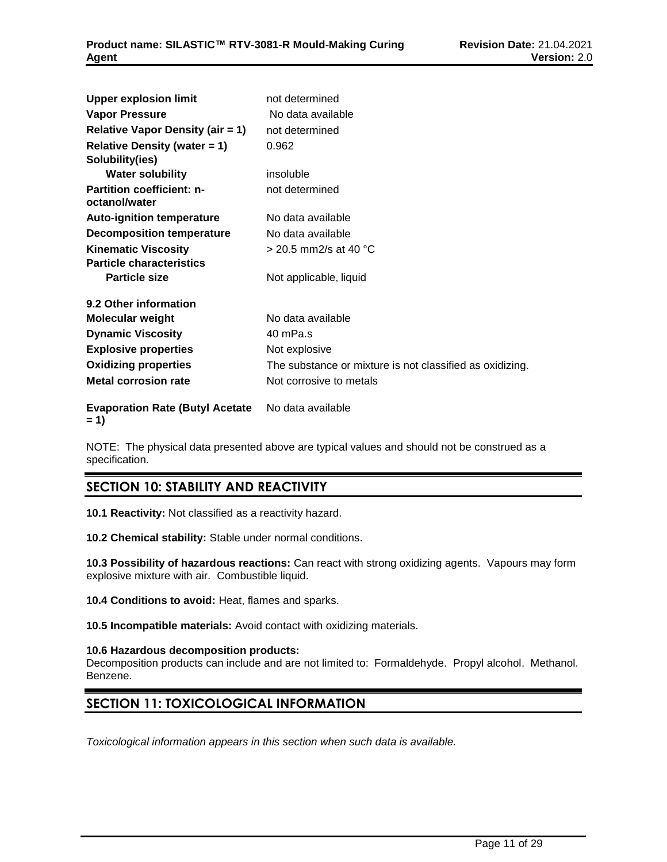| <b>Upper explosion limit</b>                      | not determined                                           |
|---------------------------------------------------|----------------------------------------------------------|
| <b>Vapor Pressure</b>                             | No data available                                        |
| <b>Relative Vapor Density (air = 1)</b>           | not determined                                           |
| <b>Relative Density (water = 1)</b>               | 0.962                                                    |
| Solubility(ies)                                   |                                                          |
| <b>Water solubility</b>                           | insoluble                                                |
| <b>Partition coefficient: n-</b><br>octanol/water | not determined                                           |
| <b>Auto-ignition temperature</b>                  | No data available                                        |
| <b>Decomposition temperature</b>                  | No data available                                        |
| <b>Kinematic Viscosity</b>                        | > 20.5 mm2/s at 40 °C                                    |
| <b>Particle characteristics</b>                   |                                                          |
| <b>Particle size</b>                              | Not applicable, liquid                                   |
| 9.2 Other information                             |                                                          |
| <b>Molecular weight</b>                           | No data available                                        |
| <b>Dynamic Viscosity</b>                          | 40 mPa.s                                                 |
| <b>Explosive properties</b>                       | Not explosive                                            |
| <b>Oxidizing properties</b>                       | The substance or mixture is not classified as oxidizing. |
| <b>Metal corrosion rate</b>                       | Not corrosive to metals                                  |
| <b>Evaporation Rate (Butyl Acetate</b><br>$= 1$   | No data available                                        |

NOTE: The physical data presented above are typical values and should not be construed as a specification.

# **SECTION 10: STABILITY AND REACTIVITY**

**10.1 Reactivity:** Not classified as a reactivity hazard.

**10.2 Chemical stability:** Stable under normal conditions.

**10.3 Possibility of hazardous reactions:** Can react with strong oxidizing agents. Vapours may form explosive mixture with air. Combustible liquid.

**10.4 Conditions to avoid:** Heat, flames and sparks.

**10.5 Incompatible materials:** Avoid contact with oxidizing materials.

# **10.6 Hazardous decomposition products:**

Decomposition products can include and are not limited to: Formaldehyde. Propyl alcohol. Methanol. Benzene.

# **SECTION 11: TOXICOLOGICAL INFORMATION**

*Toxicological information appears in this section when such data is available.*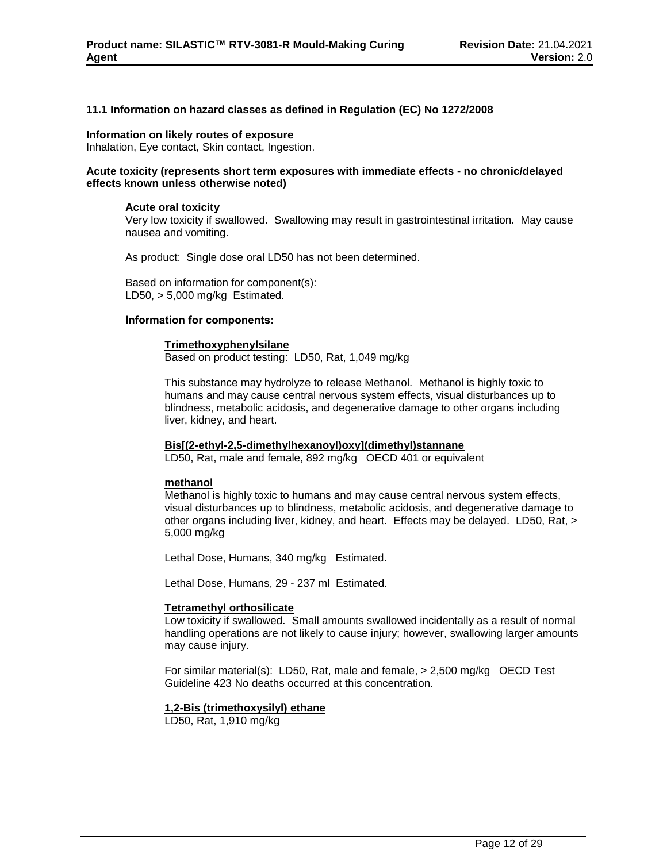# **11.1 Information on hazard classes as defined in Regulation (EC) No 1272/2008**

#### **Information on likely routes of exposure**

Inhalation, Eye contact, Skin contact, Ingestion.

### **Acute toxicity (represents short term exposures with immediate effects - no chronic/delayed effects known unless otherwise noted)**

#### **Acute oral toxicity**

Very low toxicity if swallowed. Swallowing may result in gastrointestinal irritation. May cause nausea and vomiting.

As product: Single dose oral LD50 has not been determined.

Based on information for component(s): LD50,  $> 5,000$  mg/kg Estimated.

#### **Information for components:**

#### **Trimethoxyphenylsilane**

Based on product testing: LD50, Rat, 1,049 mg/kg

This substance may hydrolyze to release Methanol. Methanol is highly toxic to humans and may cause central nervous system effects, visual disturbances up to blindness, metabolic acidosis, and degenerative damage to other organs including liver, kidney, and heart.

#### **Bis[(2-ethyl-2,5-dimethylhexanoyl)oxy](dimethyl)stannane**

LD50, Rat, male and female, 892 mg/kg OECD 401 or equivalent

#### **methanol**

Methanol is highly toxic to humans and may cause central nervous system effects, visual disturbances up to blindness, metabolic acidosis, and degenerative damage to other organs including liver, kidney, and heart. Effects may be delayed. LD50, Rat, > 5,000 mg/kg

Lethal Dose, Humans, 340 mg/kg Estimated.

Lethal Dose, Humans, 29 - 237 ml Estimated.

#### **Tetramethyl orthosilicate**

Low toxicity if swallowed. Small amounts swallowed incidentally as a result of normal handling operations are not likely to cause injury; however, swallowing larger amounts may cause injury.

For similar material(s): LD50, Rat, male and female, > 2,500 mg/kg OECD Test Guideline 423 No deaths occurred at this concentration.

#### **1,2-Bis (trimethoxysilyl) ethane**

LD50, Rat, 1,910 mg/kg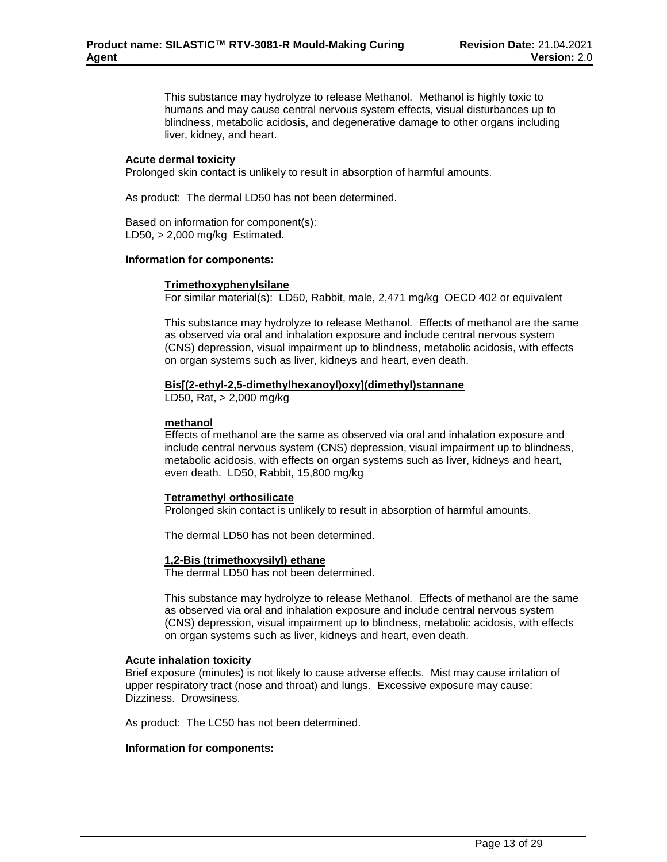This substance may hydrolyze to release Methanol. Methanol is highly toxic to humans and may cause central nervous system effects, visual disturbances up to blindness, metabolic acidosis, and degenerative damage to other organs including liver, kidney, and heart.

# **Acute dermal toxicity**

Prolonged skin contact is unlikely to result in absorption of harmful amounts.

As product: The dermal LD50 has not been determined.

Based on information for component(s): LD50,  $> 2,000$  mg/kg Estimated.

#### **Information for components:**

#### **Trimethoxyphenylsilane**

For similar material(s): LD50, Rabbit, male, 2,471 mg/kg OECD 402 or equivalent

This substance may hydrolyze to release Methanol. Effects of methanol are the same as observed via oral and inhalation exposure and include central nervous system (CNS) depression, visual impairment up to blindness, metabolic acidosis, with effects on organ systems such as liver, kidneys and heart, even death.

# **Bis[(2-ethyl-2,5-dimethylhexanoyl)oxy](dimethyl)stannane**

LD50, Rat, > 2,000 mg/kg

# **methanol**

Effects of methanol are the same as observed via oral and inhalation exposure and include central nervous system (CNS) depression, visual impairment up to blindness, metabolic acidosis, with effects on organ systems such as liver, kidneys and heart, even death. LD50, Rabbit, 15,800 mg/kg

# **Tetramethyl orthosilicate**

Prolonged skin contact is unlikely to result in absorption of harmful amounts.

The dermal LD50 has not been determined.

# **1,2-Bis (trimethoxysilyl) ethane**

The dermal LD50 has not been determined.

This substance may hydrolyze to release Methanol. Effects of methanol are the same as observed via oral and inhalation exposure and include central nervous system (CNS) depression, visual impairment up to blindness, metabolic acidosis, with effects on organ systems such as liver, kidneys and heart, even death.

#### **Acute inhalation toxicity**

Brief exposure (minutes) is not likely to cause adverse effects. Mist may cause irritation of upper respiratory tract (nose and throat) and lungs. Excessive exposure may cause: Dizziness. Drowsiness.

As product: The LC50 has not been determined.

# **Information for components:**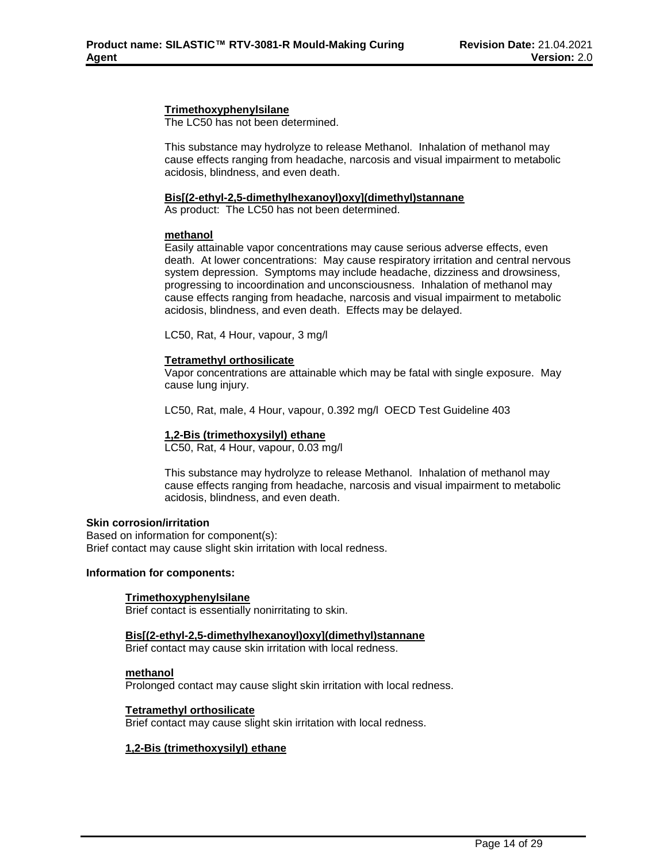### **Trimethoxyphenylsilane**

The LC50 has not been determined.

This substance may hydrolyze to release Methanol. Inhalation of methanol may cause effects ranging from headache, narcosis and visual impairment to metabolic acidosis, blindness, and even death.

# **Bis[(2-ethyl-2,5-dimethylhexanoyl)oxy](dimethyl)stannane**

As product: The LC50 has not been determined.

#### **methanol**

Easily attainable vapor concentrations may cause serious adverse effects, even death. At lower concentrations: May cause respiratory irritation and central nervous system depression. Symptoms may include headache, dizziness and drowsiness, progressing to incoordination and unconsciousness. Inhalation of methanol may cause effects ranging from headache, narcosis and visual impairment to metabolic acidosis, blindness, and even death. Effects may be delayed.

LC50, Rat, 4 Hour, vapour, 3 mg/l

#### **Tetramethyl orthosilicate**

Vapor concentrations are attainable which may be fatal with single exposure. May cause lung injury.

LC50, Rat, male, 4 Hour, vapour, 0.392 mg/l OECD Test Guideline 403

# **1,2-Bis (trimethoxysilyl) ethane**

LC50, Rat, 4 Hour, vapour, 0.03 mg/l

This substance may hydrolyze to release Methanol. Inhalation of methanol may cause effects ranging from headache, narcosis and visual impairment to metabolic acidosis, blindness, and even death.

#### **Skin corrosion/irritation**

Based on information for component(s): Brief contact may cause slight skin irritation with local redness.

#### **Information for components:**

# **Trimethoxyphenylsilane**

Brief contact is essentially nonirritating to skin.

#### **Bis[(2-ethyl-2,5-dimethylhexanoyl)oxy](dimethyl)stannane**

Brief contact may cause skin irritation with local redness.

#### **methanol**

Prolonged contact may cause slight skin irritation with local redness.

#### **Tetramethyl orthosilicate**

Brief contact may cause slight skin irritation with local redness.

# **1,2-Bis (trimethoxysilyl) ethane**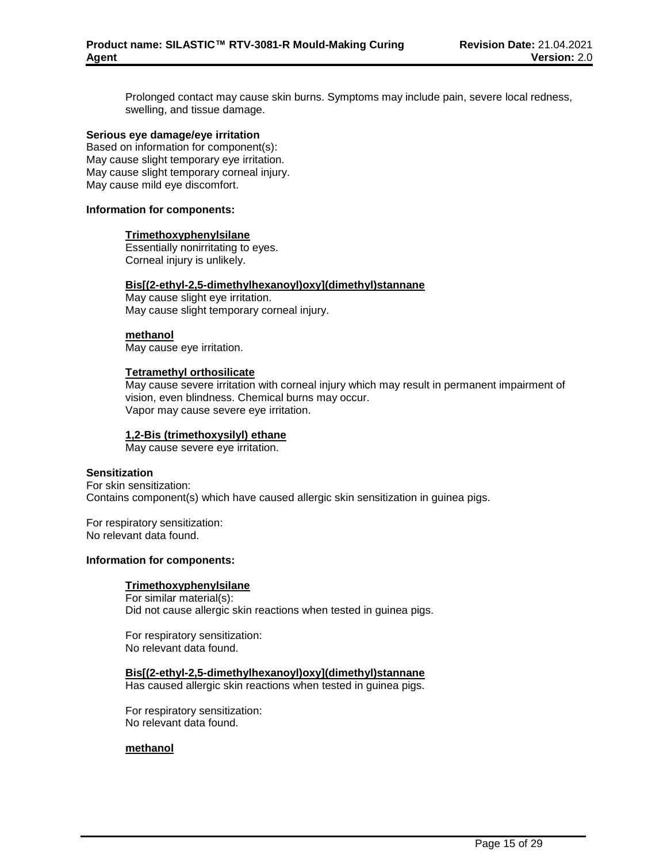Prolonged contact may cause skin burns. Symptoms may include pain, severe local redness, swelling, and tissue damage.

#### **Serious eye damage/eye irritation**

Based on information for component(s): May cause slight temporary eye irritation. May cause slight temporary corneal injury. May cause mild eye discomfort.

#### **Information for components:**

#### **Trimethoxyphenylsilane**

Essentially nonirritating to eyes. Corneal injury is unlikely.

#### **Bis[(2-ethyl-2,5-dimethylhexanoyl)oxy](dimethyl)stannane**

May cause slight eye irritation. May cause slight temporary corneal injury.

#### **methanol**

May cause eye irritation.

#### **Tetramethyl orthosilicate**

May cause severe irritation with corneal injury which may result in permanent impairment of vision, even blindness. Chemical burns may occur. Vapor may cause severe eye irritation.

# **1,2-Bis (trimethoxysilyl) ethane**

May cause severe eye irritation.

### **Sensitization**

For skin sensitization: Contains component(s) which have caused allergic skin sensitization in guinea pigs.

For respiratory sensitization: No relevant data found.

#### **Information for components:**

#### **Trimethoxyphenylsilane**

For similar material(s): Did not cause allergic skin reactions when tested in guinea pigs.

For respiratory sensitization: No relevant data found.

**Bis[(2-ethyl-2,5-dimethylhexanoyl)oxy](dimethyl)stannane** Has caused allergic skin reactions when tested in guinea pigs.

For respiratory sensitization: No relevant data found.

# **methanol**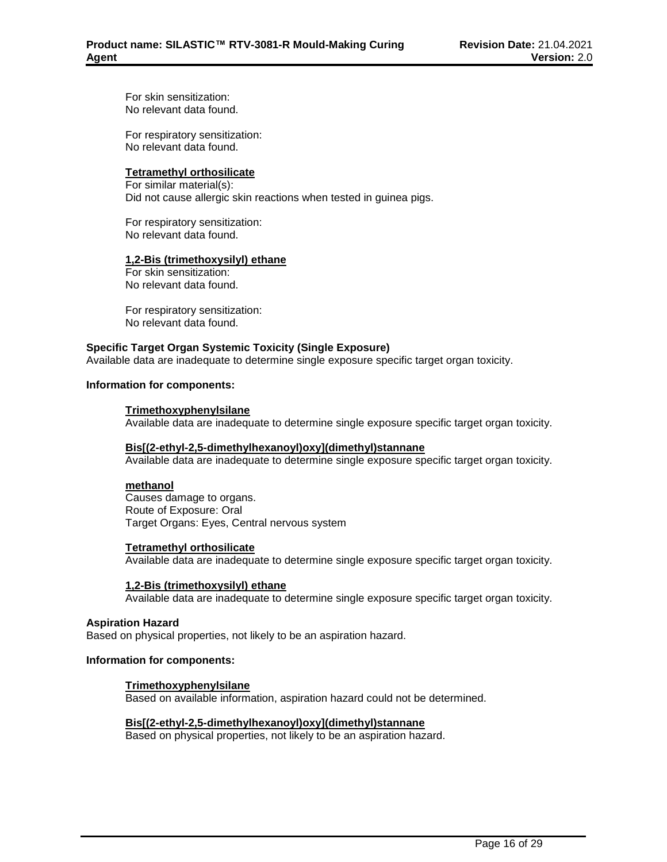For skin sensitization: No relevant data found.

For respiratory sensitization: No relevant data found.

# **Tetramethyl orthosilicate**

For similar material(s): Did not cause allergic skin reactions when tested in guinea pigs.

For respiratory sensitization: No relevant data found.

# **1,2-Bis (trimethoxysilyl) ethane**

For skin sensitization: No relevant data found.

For respiratory sensitization: No relevant data found.

# **Specific Target Organ Systemic Toxicity (Single Exposure)**

Available data are inadequate to determine single exposure specific target organ toxicity.

# **Information for components:**

# **Trimethoxyphenylsilane**

Available data are inadequate to determine single exposure specific target organ toxicity.

# **Bis[(2-ethyl-2,5-dimethylhexanoyl)oxy](dimethyl)stannane**

Available data are inadequate to determine single exposure specific target organ toxicity.

# **methanol**

Causes damage to organs. Route of Exposure: Oral Target Organs: Eyes, Central nervous system

# **Tetramethyl orthosilicate**

Available data are inadequate to determine single exposure specific target organ toxicity.

#### **1,2-Bis (trimethoxysilyl) ethane**

Available data are inadequate to determine single exposure specific target organ toxicity.

#### **Aspiration Hazard**

Based on physical properties, not likely to be an aspiration hazard.

#### **Information for components:**

# **Trimethoxyphenylsilane**

Based on available information, aspiration hazard could not be determined.

# **Bis[(2-ethyl-2,5-dimethylhexanoyl)oxy](dimethyl)stannane**

Based on physical properties, not likely to be an aspiration hazard.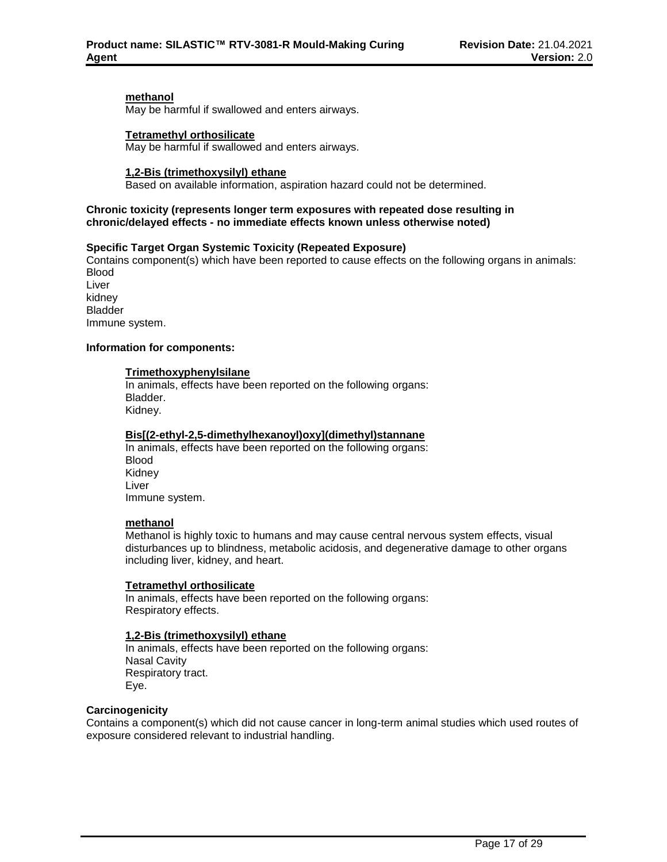# **methanol**

May be harmful if swallowed and enters airways.

#### **Tetramethyl orthosilicate**

May be harmful if swallowed and enters airways.

### **1,2-Bis (trimethoxysilyl) ethane**

Based on available information, aspiration hazard could not be determined.

### **Chronic toxicity (represents longer term exposures with repeated dose resulting in chronic/delayed effects - no immediate effects known unless otherwise noted)**

# **Specific Target Organ Systemic Toxicity (Repeated Exposure)**

Contains component(s) which have been reported to cause effects on the following organs in animals: Blood Liver

kidney Bladder Immune system.

# **Information for components:**

### **Trimethoxyphenylsilane**

In animals, effects have been reported on the following organs: Bladder. Kidney.

# **Bis[(2-ethyl-2,5-dimethylhexanoyl)oxy](dimethyl)stannane**

In animals, effects have been reported on the following organs: Blood Kidney Liver Immune system.

### **methanol**

Methanol is highly toxic to humans and may cause central nervous system effects, visual disturbances up to blindness, metabolic acidosis, and degenerative damage to other organs including liver, kidney, and heart.

#### **Tetramethyl orthosilicate**

In animals, effects have been reported on the following organs: Respiratory effects.

#### **1,2-Bis (trimethoxysilyl) ethane**

In animals, effects have been reported on the following organs: Nasal Cavity Respiratory tract. Eye.

#### **Carcinogenicity**

Contains a component(s) which did not cause cancer in long-term animal studies which used routes of exposure considered relevant to industrial handling.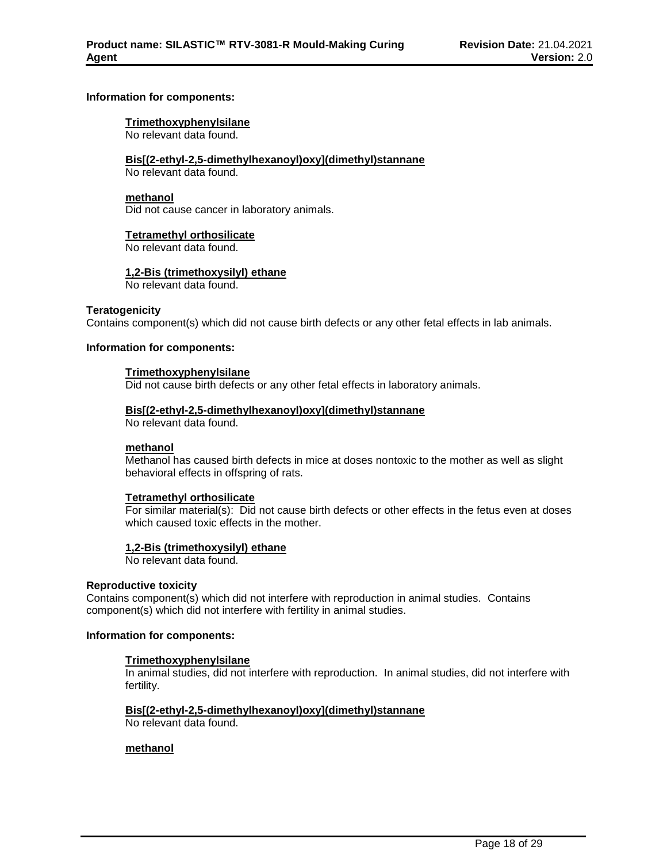### **Information for components:**

### **Trimethoxyphenylsilane**

No relevant data found.

### **Bis[(2-ethyl-2,5-dimethylhexanoyl)oxy](dimethyl)stannane**

No relevant data found.

# **methanol**

Did not cause cancer in laboratory animals.

#### **Tetramethyl orthosilicate**

No relevant data found.

#### **1,2-Bis (trimethoxysilyl) ethane**

No relevant data found.

# **Teratogenicity**

Contains component(s) which did not cause birth defects or any other fetal effects in lab animals.

# **Information for components:**

#### **Trimethoxyphenylsilane**

Did not cause birth defects or any other fetal effects in laboratory animals.

#### **Bis[(2-ethyl-2,5-dimethylhexanoyl)oxy](dimethyl)stannane**

No relevant data found.

#### **methanol**

Methanol has caused birth defects in mice at doses nontoxic to the mother as well as slight behavioral effects in offspring of rats.

# **Tetramethyl orthosilicate**

For similar material(s): Did not cause birth defects or other effects in the fetus even at doses which caused toxic effects in the mother.

# **1,2-Bis (trimethoxysilyl) ethane**

No relevant data found.

#### **Reproductive toxicity**

Contains component(s) which did not interfere with reproduction in animal studies. Contains component(s) which did not interfere with fertility in animal studies.

#### **Information for components:**

# **Trimethoxyphenylsilane**

In animal studies, did not interfere with reproduction. In animal studies, did not interfere with fertility.

**Bis[(2-ethyl-2,5-dimethylhexanoyl)oxy](dimethyl)stannane** No relevant data found.

# **methanol**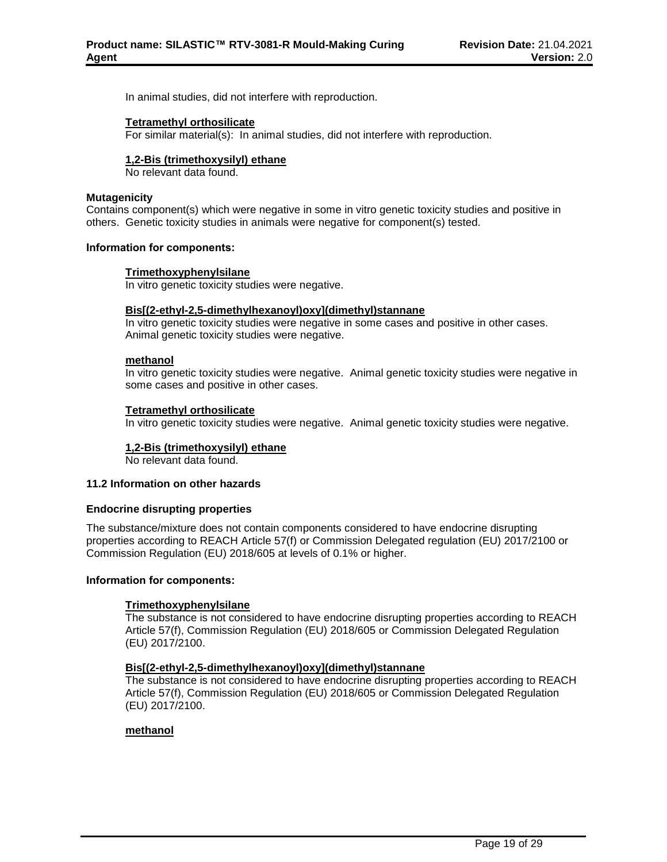In animal studies, did not interfere with reproduction.

### **Tetramethyl orthosilicate**

For similar material(s): In animal studies, did not interfere with reproduction.

### **1,2-Bis (trimethoxysilyl) ethane**

No relevant data found.

# **Mutagenicity**

Contains component(s) which were negative in some in vitro genetic toxicity studies and positive in others. Genetic toxicity studies in animals were negative for component(s) tested.

#### **Information for components:**

#### **Trimethoxyphenylsilane**

In vitro genetic toxicity studies were negative.

# **Bis[(2-ethyl-2,5-dimethylhexanoyl)oxy](dimethyl)stannane**

In vitro genetic toxicity studies were negative in some cases and positive in other cases. Animal genetic toxicity studies were negative.

#### **methanol**

In vitro genetic toxicity studies were negative. Animal genetic toxicity studies were negative in some cases and positive in other cases.

# **Tetramethyl orthosilicate**

In vitro genetic toxicity studies were negative. Animal genetic toxicity studies were negative.

# **1,2-Bis (trimethoxysilyl) ethane**

No relevant data found.

# **11.2 Information on other hazards**

#### **Endocrine disrupting properties**

The substance/mixture does not contain components considered to have endocrine disrupting properties according to REACH Article 57(f) or Commission Delegated regulation (EU) 2017/2100 or Commission Regulation (EU) 2018/605 at levels of 0.1% or higher.

#### **Information for components:**

# **Trimethoxyphenylsilane**

The substance is not considered to have endocrine disrupting properties according to REACH Article 57(f), Commission Regulation (EU) 2018/605 or Commission Delegated Regulation (EU) 2017/2100.

# **Bis[(2-ethyl-2,5-dimethylhexanoyl)oxy](dimethyl)stannane**

The substance is not considered to have endocrine disrupting properties according to REACH Article 57(f), Commission Regulation (EU) 2018/605 or Commission Delegated Regulation (EU) 2017/2100.

# **methanol**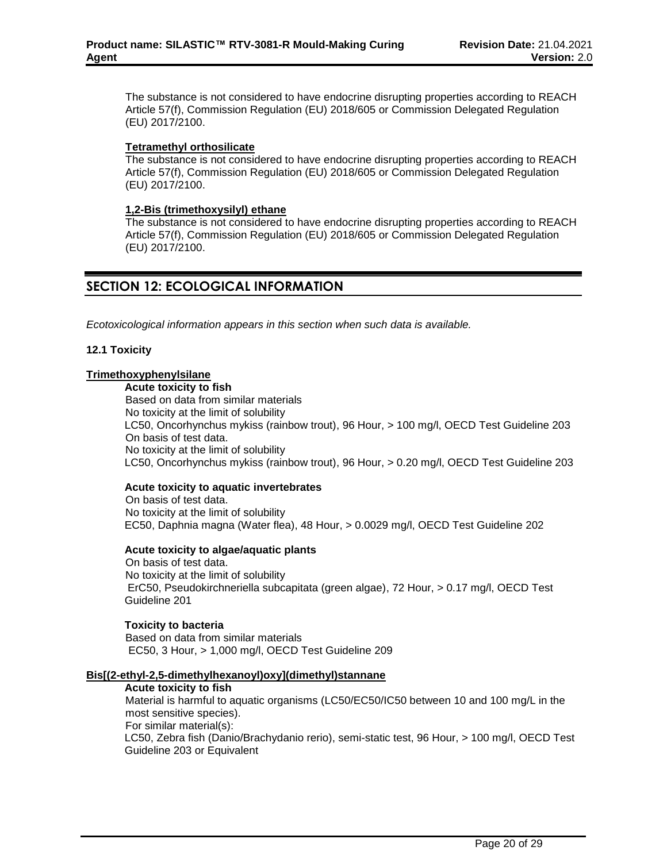The substance is not considered to have endocrine disrupting properties according to REACH Article 57(f), Commission Regulation (EU) 2018/605 or Commission Delegated Regulation (EU) 2017/2100.

# **Tetramethyl orthosilicate**

The substance is not considered to have endocrine disrupting properties according to REACH Article 57(f), Commission Regulation (EU) 2018/605 or Commission Delegated Regulation (EU) 2017/2100.

# **1,2-Bis (trimethoxysilyl) ethane**

The substance is not considered to have endocrine disrupting properties according to REACH Article 57(f), Commission Regulation (EU) 2018/605 or Commission Delegated Regulation (EU) 2017/2100.

# **SECTION 12: ECOLOGICAL INFORMATION**

*Ecotoxicological information appears in this section when such data is available.*

# **12.1 Toxicity**

# **Trimethoxyphenylsilane**

**Acute toxicity to fish** Based on data from similar materials No toxicity at the limit of solubility LC50, Oncorhynchus mykiss (rainbow trout), 96 Hour, > 100 mg/l, OECD Test Guideline 203 On basis of test data. No toxicity at the limit of solubility LC50, Oncorhynchus mykiss (rainbow trout), 96 Hour, > 0.20 mg/l, OECD Test Guideline 203

# **Acute toxicity to aquatic invertebrates**

On basis of test data. No toxicity at the limit of solubility EC50, Daphnia magna (Water flea), 48 Hour, > 0.0029 mg/l, OECD Test Guideline 202

# **Acute toxicity to algae/aquatic plants**

On basis of test data. No toxicity at the limit of solubility ErC50, Pseudokirchneriella subcapitata (green algae), 72 Hour, > 0.17 mg/l, OECD Test Guideline 201

# **Toxicity to bacteria**

Based on data from similar materials EC50, 3 Hour, > 1,000 mg/l, OECD Test Guideline 209

# **Bis[(2-ethyl-2,5-dimethylhexanoyl)oxy](dimethyl)stannane**

# **Acute toxicity to fish**

Material is harmful to aquatic organisms (LC50/EC50/IC50 between 10 and 100 mg/L in the most sensitive species). For similar material(s):

LC50, Zebra fish (Danio/Brachydanio rerio), semi-static test, 96 Hour, > 100 mg/l, OECD Test Guideline 203 or Equivalent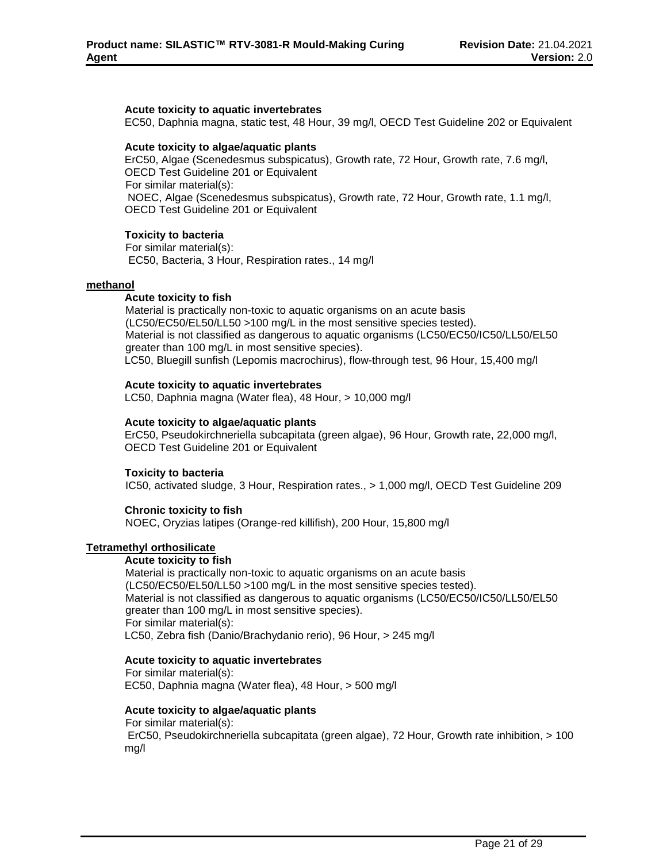### **Acute toxicity to aquatic invertebrates**

EC50, Daphnia magna, static test, 48 Hour, 39 mg/l, OECD Test Guideline 202 or Equivalent

### **Acute toxicity to algae/aquatic plants**

ErC50, Algae (Scenedesmus subspicatus), Growth rate, 72 Hour, Growth rate, 7.6 mg/l, OECD Test Guideline 201 or Equivalent For similar material(s): NOEC, Algae (Scenedesmus subspicatus), Growth rate, 72 Hour, Growth rate, 1.1 mg/l, OECD Test Guideline 201 or Equivalent

#### **Toxicity to bacteria**

For similar material(s): EC50, Bacteria, 3 Hour, Respiration rates., 14 mg/l

#### **methanol**

#### **Acute toxicity to fish**

Material is practically non-toxic to aquatic organisms on an acute basis (LC50/EC50/EL50/LL50 >100 mg/L in the most sensitive species tested). Material is not classified as dangerous to aquatic organisms (LC50/EC50/IC50/LL50/EL50 greater than 100 mg/L in most sensitive species). LC50, Bluegill sunfish (Lepomis macrochirus), flow-through test, 96 Hour, 15,400 mg/l

#### **Acute toxicity to aquatic invertebrates**

LC50, Daphnia magna (Water flea), 48 Hour, > 10,000 mg/l

#### **Acute toxicity to algae/aquatic plants**

ErC50, Pseudokirchneriella subcapitata (green algae), 96 Hour, Growth rate, 22,000 mg/l, OECD Test Guideline 201 or Equivalent

#### **Toxicity to bacteria**

IC50, activated sludge, 3 Hour, Respiration rates., > 1,000 mg/l, OECD Test Guideline 209

# **Chronic toxicity to fish**

NOEC, Oryzias latipes (Orange-red killifish), 200 Hour, 15,800 mg/l

# **Tetramethyl orthosilicate**

#### **Acute toxicity to fish**

Material is practically non-toxic to aquatic organisms on an acute basis (LC50/EC50/EL50/LL50 >100 mg/L in the most sensitive species tested). Material is not classified as dangerous to aquatic organisms (LC50/EC50/IC50/LL50/EL50 greater than 100 mg/L in most sensitive species). For similar material(s): LC50, Zebra fish (Danio/Brachydanio rerio), 96 Hour, > 245 mg/l

#### **Acute toxicity to aquatic invertebrates**

For similar material(s): EC50, Daphnia magna (Water flea), 48 Hour, > 500 mg/l

#### **Acute toxicity to algae/aquatic plants**

For similar material(s):

ErC50, Pseudokirchneriella subcapitata (green algae), 72 Hour, Growth rate inhibition, > 100 mg/l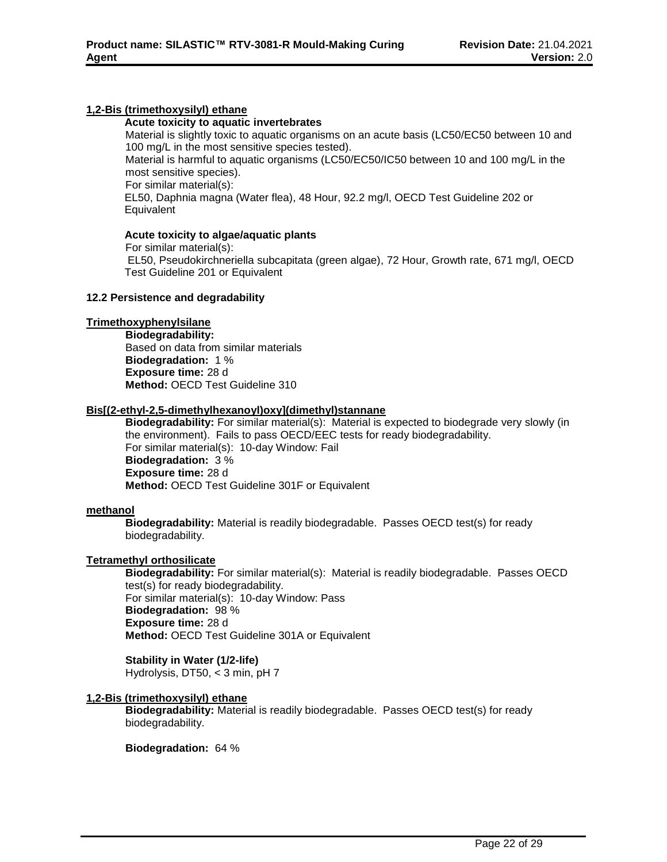# **1,2-Bis (trimethoxysilyl) ethane**

# **Acute toxicity to aquatic invertebrates**

Material is slightly toxic to aquatic organisms on an acute basis (LC50/EC50 between 10 and 100 mg/L in the most sensitive species tested).

Material is harmful to aquatic organisms (LC50/EC50/IC50 between 10 and 100 mg/L in the most sensitive species).

For similar material(s):

EL50, Daphnia magna (Water flea), 48 Hour, 92.2 mg/l, OECD Test Guideline 202 or **Equivalent** 

# **Acute toxicity to algae/aquatic plants**

For similar material(s): EL50, Pseudokirchneriella subcapitata (green algae), 72 Hour, Growth rate, 671 mg/l, OECD Test Guideline 201 or Equivalent

# **12.2 Persistence and degradability**

# **Trimethoxyphenylsilane**

**Biodegradability:** Based on data from similar materials **Biodegradation:** 1 % **Exposure time:** 28 d **Method:** OECD Test Guideline 310

# **Bis[(2-ethyl-2,5-dimethylhexanoyl)oxy](dimethyl)stannane**

**Biodegradability:** For similar material(s): Material is expected to biodegrade very slowly (in the environment). Fails to pass OECD/EEC tests for ready biodegradability. For similar material(s): 10-day Window: Fail **Biodegradation:** 3 % **Exposure time:** 28 d **Method:** OECD Test Guideline 301F or Equivalent

# **methanol**

**Biodegradability:** Material is readily biodegradable. Passes OECD test(s) for ready biodegradability.

# **Tetramethyl orthosilicate**

**Biodegradability:** For similar material(s): Material is readily biodegradable. Passes OECD test(s) for ready biodegradability. For similar material(s): 10-day Window: Pass **Biodegradation:** 98 % **Exposure time:** 28 d **Method:** OECD Test Guideline 301A or Equivalent

# **Stability in Water (1/2-life)**

Hydrolysis, DT50, < 3 min, pH 7

# **1,2-Bis (trimethoxysilyl) ethane**

**Biodegradability:** Material is readily biodegradable. Passes OECD test(s) for ready biodegradability.

# **Biodegradation:** 64 %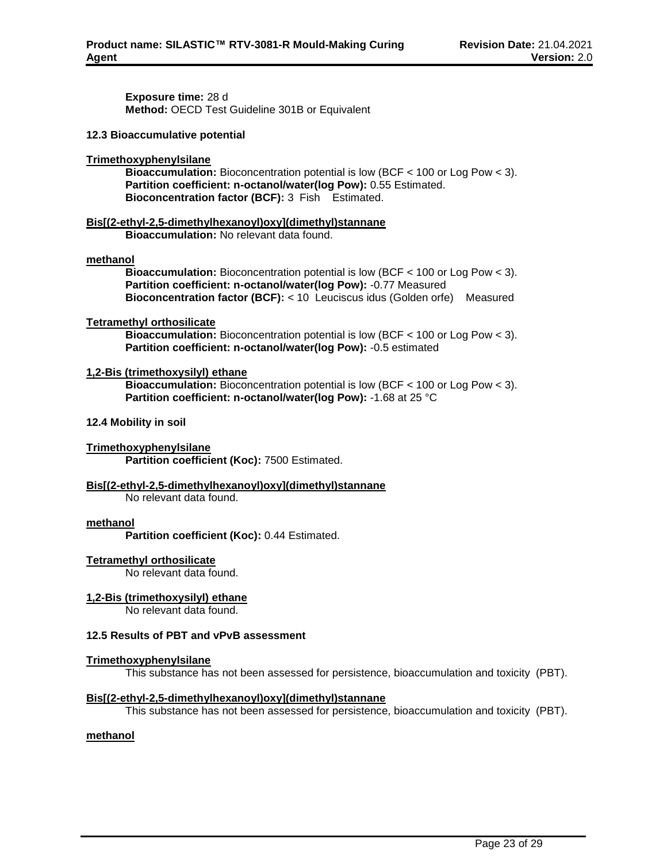**Exposure time:** 28 d **Method:** OECD Test Guideline 301B or Equivalent

#### **12.3 Bioaccumulative potential**

### **Trimethoxyphenylsilane**

**Bioaccumulation:** Bioconcentration potential is low (BCF < 100 or Log Pow < 3). **Partition coefficient: n-octanol/water(log Pow):** 0.55 Estimated. **Bioconcentration factor (BCF):** 3 Fish Estimated.

**Bis[(2-ethyl-2,5-dimethylhexanoyl)oxy](dimethyl)stannane Bioaccumulation:** No relevant data found.

#### **methanol**

**Bioaccumulation:** Bioconcentration potential is low (BCF < 100 or Log Pow < 3). **Partition coefficient: n-octanol/water(log Pow):** -0.77 Measured **Bioconcentration factor (BCF):** < 10 Leuciscus idus (Golden orfe) Measured

# **Tetramethyl orthosilicate**

**Bioaccumulation:** Bioconcentration potential is low (BCF < 100 or Log Pow < 3). **Partition coefficient: n-octanol/water(log Pow):** -0.5 estimated

### **1,2-Bis (trimethoxysilyl) ethane**

**Bioaccumulation:** Bioconcentration potential is low (BCF < 100 or Log Pow < 3). **Partition coefficient: n-octanol/water(log Pow):** -1.68 at 25 °C

### **12.4 Mobility in soil**

#### **Trimethoxyphenylsilane**

**Partition coefficient (Koc):** 7500 Estimated.

# **Bis[(2-ethyl-2,5-dimethylhexanoyl)oxy](dimethyl)stannane**

No relevant data found.

#### **methanol**

**Partition coefficient (Koc):** 0.44 Estimated.

# **Tetramethyl orthosilicate**

No relevant data found.

# **1,2-Bis (trimethoxysilyl) ethane**

No relevant data found.

# **12.5 Results of PBT and vPvB assessment**

# **Trimethoxyphenylsilane**

This substance has not been assessed for persistence, bioaccumulation and toxicity (PBT).

# **Bis[(2-ethyl-2,5-dimethylhexanoyl)oxy](dimethyl)stannane**

This substance has not been assessed for persistence, bioaccumulation and toxicity (PBT).

# **methanol**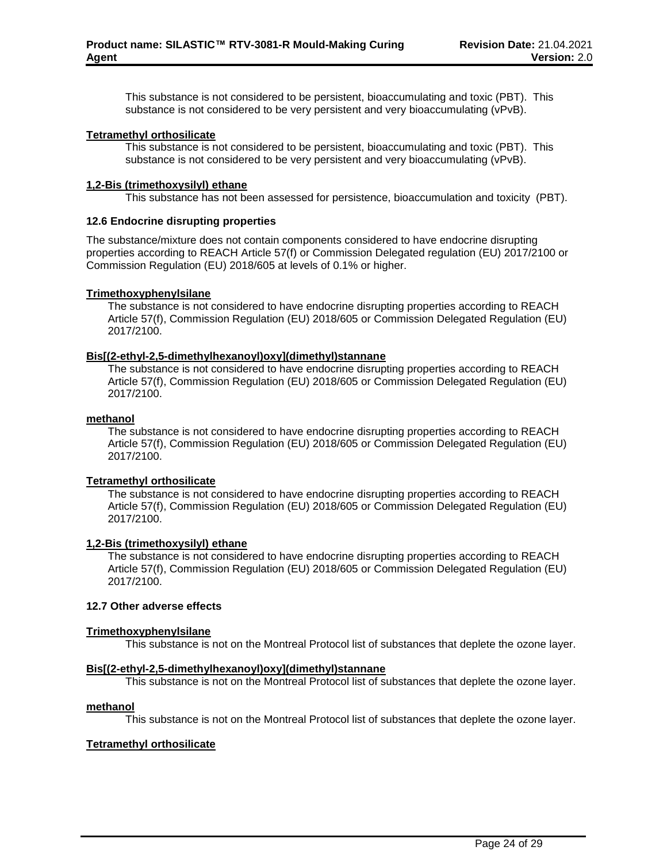This substance is not considered to be persistent, bioaccumulating and toxic (PBT). This substance is not considered to be very persistent and very bioaccumulating (vPvB).

# **Tetramethyl orthosilicate**

This substance is not considered to be persistent, bioaccumulating and toxic (PBT). This substance is not considered to be very persistent and very bioaccumulating (vPvB).

# **1,2-Bis (trimethoxysilyl) ethane**

This substance has not been assessed for persistence, bioaccumulation and toxicity (PBT).

# **12.6 Endocrine disrupting properties**

The substance/mixture does not contain components considered to have endocrine disrupting properties according to REACH Article 57(f) or Commission Delegated regulation (EU) 2017/2100 or Commission Regulation (EU) 2018/605 at levels of 0.1% or higher.

# **Trimethoxyphenylsilane**

The substance is not considered to have endocrine disrupting properties according to REACH Article 57(f), Commission Regulation (EU) 2018/605 or Commission Delegated Regulation (EU) 2017/2100.

# **Bis[(2-ethyl-2,5-dimethylhexanoyl)oxy](dimethyl)stannane**

The substance is not considered to have endocrine disrupting properties according to REACH Article 57(f), Commission Regulation (EU) 2018/605 or Commission Delegated Regulation (EU) 2017/2100.

# **methanol**

The substance is not considered to have endocrine disrupting properties according to REACH Article 57(f), Commission Regulation (EU) 2018/605 or Commission Delegated Regulation (EU) 2017/2100.

# **Tetramethyl orthosilicate**

The substance is not considered to have endocrine disrupting properties according to REACH Article 57(f), Commission Regulation (EU) 2018/605 or Commission Delegated Regulation (EU) 2017/2100.

# **1,2-Bis (trimethoxysilyl) ethane**

The substance is not considered to have endocrine disrupting properties according to REACH Article 57(f), Commission Regulation (EU) 2018/605 or Commission Delegated Regulation (EU) 2017/2100.

# **12.7 Other adverse effects**

# **Trimethoxyphenylsilane**

This substance is not on the Montreal Protocol list of substances that deplete the ozone layer.

# **Bis[(2-ethyl-2,5-dimethylhexanoyl)oxy](dimethyl)stannane**

This substance is not on the Montreal Protocol list of substances that deplete the ozone layer.

# **methanol**

This substance is not on the Montreal Protocol list of substances that deplete the ozone layer.

# **Tetramethyl orthosilicate**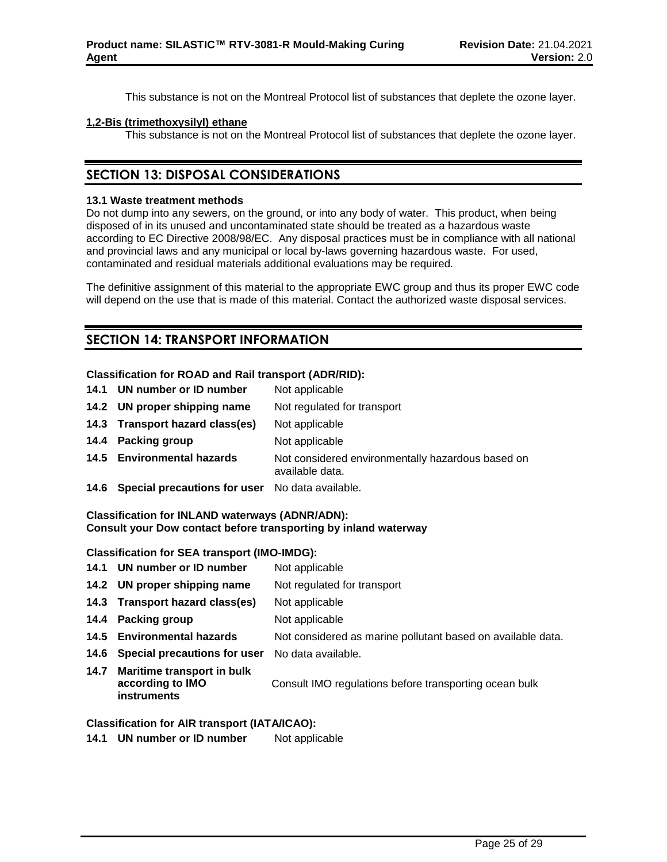This substance is not on the Montreal Protocol list of substances that deplete the ozone layer.

# **1,2-Bis (trimethoxysilyl) ethane**

This substance is not on the Montreal Protocol list of substances that deplete the ozone layer.

# **SECTION 13: DISPOSAL CONSIDERATIONS**

# **13.1 Waste treatment methods**

Do not dump into any sewers, on the ground, or into any body of water. This product, when being disposed of in its unused and uncontaminated state should be treated as a hazardous waste according to EC Directive 2008/98/EC. Any disposal practices must be in compliance with all national and provincial laws and any municipal or local by-laws governing hazardous waste. For used, contaminated and residual materials additional evaluations may be required.

The definitive assignment of this material to the appropriate EWC group and thus its proper EWC code will depend on the use that is made of this material. Contact the authorized waste disposal services.

# **SECTION 14: TRANSPORT INFORMATION**

# **Classification for ROAD and Rail transport (ADR/RID):**

- 14.1 **UN number or ID number** Not applicable **14.2 UN proper shipping name** Not regulated for transport **14.3 Transport hazard class(es)** Not applicable **14.4 Packing group** Not applicable
- **14.5 Environmental hazards** Not considered environmentally hazardous based on available data.
- **14.6 Special precautions for user** No data available.

# **Classification for INLAND waterways (ADNR/ADN): Consult your Dow contact before transporting by inland waterway**

# **Classification for SEA transport (IMO-IMDG):**

- 14.1 **UN number or ID number** Not applicable
- **14.2 UN proper shipping name** Not regulated for transport
- **14.3 Transport hazard class(es)** Not applicable
- **14.4 Packing group** Not applicable
- **14.5 Environmental hazards** Not considered as marine pollutant based on available data.
- **14.6 Special precautions for user** No data available.
- **14.7 Maritime transport in bulk according to IMO instruments** Consult IMO regulations before transporting ocean bulk

# **Classification for AIR transport (IATA/ICAO):**

14.1 **UN number or ID number** Not applicable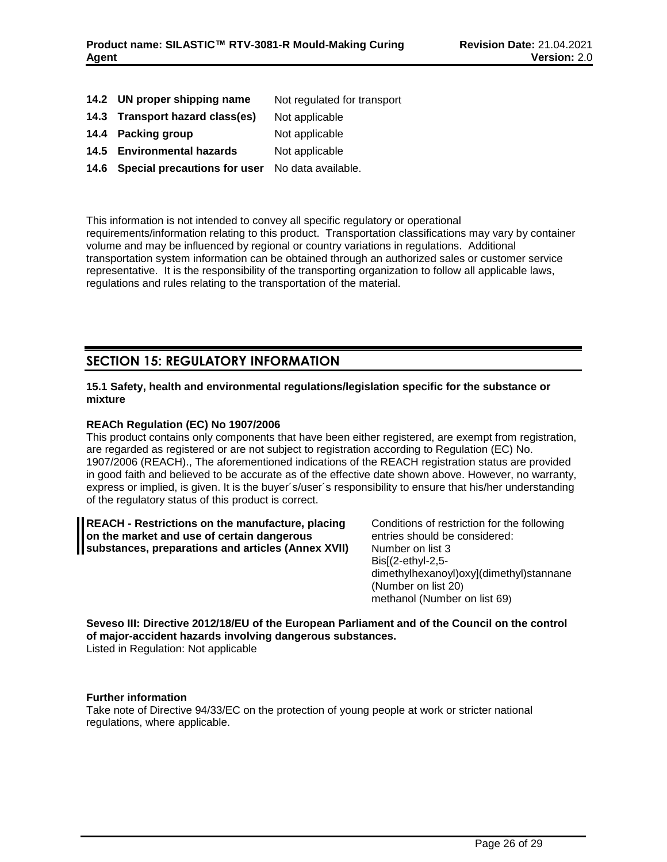- **14.2 UN proper shipping name** Not regulated for transport
- **14.3 Transport hazard class(es)** Not applicable
- **14.4 Packing group** Not applicable
- 14.5 **Environmental hazards** Not applicable
- **14.6 Special precautions for user** No data available.

This information is not intended to convey all specific regulatory or operational requirements/information relating to this product. Transportation classifications may vary by container volume and may be influenced by regional or country variations in regulations. Additional transportation system information can be obtained through an authorized sales or customer service representative. It is the responsibility of the transporting organization to follow all applicable laws, regulations and rules relating to the transportation of the material.

# **SECTION 15: REGULATORY INFORMATION**

# **15.1 Safety, health and environmental regulations/legislation specific for the substance or mixture**

# **REACh Regulation (EC) No 1907/2006**

This product contains only components that have been either registered, are exempt from registration, are regarded as registered or are not subject to registration according to Regulation (EC) No. 1907/2006 (REACH)., The aforementioned indications of the REACH registration status are provided in good faith and believed to be accurate as of the effective date shown above. However, no warranty, express or implied, is given. It is the buyer´s/user´s responsibility to ensure that his/her understanding of the regulatory status of this product is correct.

**REACH - Restrictions on the manufacture, placing on the market and use of certain dangerous substances, preparations and articles (Annex XVII)** Conditions of restriction for the following entries should be considered: Number on list 3 Bis[(2-ethyl-2,5 dimethylhexanoyl)oxy](dimethyl)stannane (Number on list 20) methanol (Number on list 69)

**Seveso III: Directive 2012/18/EU of the European Parliament and of the Council on the control of major-accident hazards involving dangerous substances.** Listed in Regulation: Not applicable

# **Further information**

Take note of Directive 94/33/EC on the protection of young people at work or stricter national regulations, where applicable.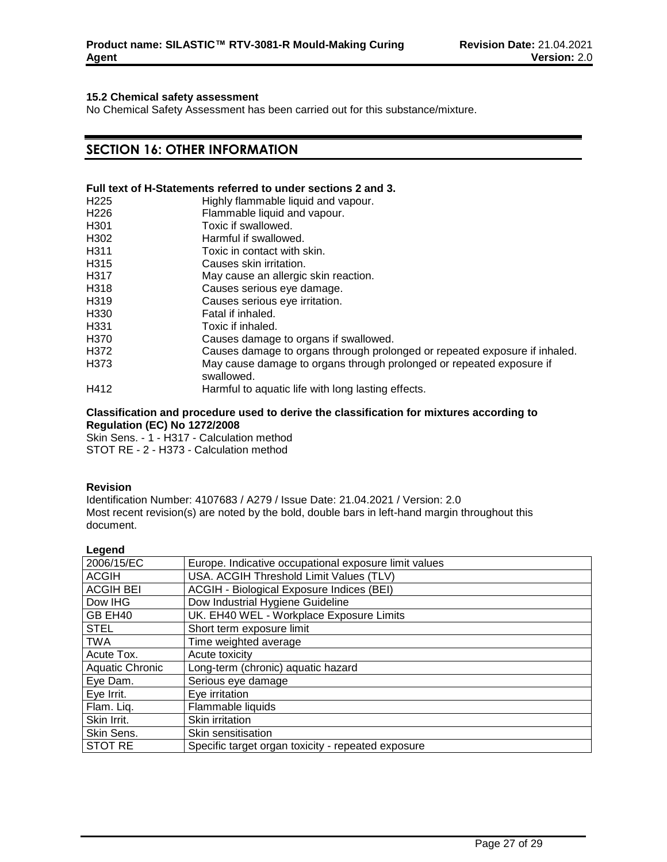### **15.2 Chemical safety assessment**

No Chemical Safety Assessment has been carried out for this substance/mixture.

# **SECTION 16: OTHER INFORMATION**

# **Full text of H-Statements referred to under sections 2 and 3.**

| H <sub>225</sub>  | Highly flammable liquid and vapour.                                                |
|-------------------|------------------------------------------------------------------------------------|
| H <sub>226</sub>  | Flammable liquid and vapour.                                                       |
| H <sub>301</sub>  | Toxic if swallowed.                                                                |
| H <sub>302</sub>  | Harmful if swallowed.                                                              |
| H <sub>311</sub>  | Toxic in contact with skin.                                                        |
| H315              | Causes skin irritation.                                                            |
| H317              | May cause an allergic skin reaction.                                               |
| H318              | Causes serious eye damage.                                                         |
| H <sub>3</sub> 19 | Causes serious eye irritation.                                                     |
| H <sub>330</sub>  | Fatal if inhaled.                                                                  |
| H <sub>331</sub>  | Toxic if inhaled.                                                                  |
| H370              | Causes damage to organs if swallowed.                                              |
| H372              | Causes damage to organs through prolonged or repeated exposure if inhaled.         |
| H373              | May cause damage to organs through prolonged or repeated exposure if<br>swallowed. |
| H412              | Harmful to aquatic life with long lasting effects.                                 |

#### **Classification and procedure used to derive the classification for mixtures according to Regulation (EC) No 1272/2008**

Skin Sens. - 1 - H317 - Calculation method STOT RE - 2 - H373 - Calculation method

### **Revision**

Identification Number: 4107683 / A279 / Issue Date: 21.04.2021 / Version: 2.0 Most recent revision(s) are noted by the bold, double bars in left-hand margin throughout this document.

| Legend                 |                                                       |
|------------------------|-------------------------------------------------------|
| 2006/15/EC             | Europe. Indicative occupational exposure limit values |
| <b>ACGIH</b>           | USA. ACGIH Threshold Limit Values (TLV)               |
| <b>ACGIH BEI</b>       | ACGIH - Biological Exposure Indices (BEI)             |
| Dow IHG                | Dow Industrial Hygiene Guideline                      |
| GB EH40                | UK. EH40 WEL - Workplace Exposure Limits              |
| <b>STEL</b>            | Short term exposure limit                             |
| <b>TWA</b>             | Time weighted average                                 |
| Acute Tox.             | Acute toxicity                                        |
| <b>Aquatic Chronic</b> | Long-term (chronic) aquatic hazard                    |
| Eye Dam.               | Serious eye damage                                    |
| Eye Irrit.             | Eye irritation                                        |
| Flam. Liq.             | Flammable liquids                                     |
| Skin Irrit.            | Skin irritation                                       |
| Skin Sens.             | Skin sensitisation                                    |
| <b>STOT RE</b>         | Specific target organ toxicity - repeated exposure    |